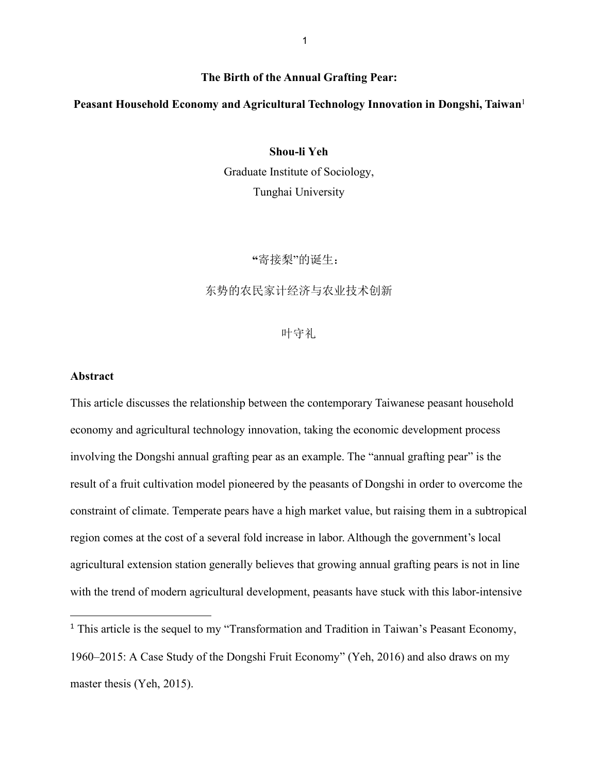#### **Peasant Household Economy and Agricultural Technology Innovation in Dongshi, Taiwan** [1](#page-0-0)

# **Shou-li Yeh**

Graduate Institute of Sociology, Tunghai University

**"**寄接梨"的诞生:

# 东势的农民家计经济与农业技术创新

叶守礼

# **Abstract**

This article discusses the relationship between the contemporary Taiwanese peasant household economy and agricultural technology innovation, taking the economic development process involving the Dongshi annual grafting pear as an example. The "annual grafting pear" is the result of a fruit cultivation model pioneered by the peasants of Dongshi in order to overcome the constraint of climate. Temperate pears have a high market value, but raising them in a subtropical region comes at the cost of a several fold increase in labor. Although the government's local agricultural extension station generally believes that growing annual grafting pears is not in line with the trend of modern agricultural development, peasants have stuck with this labor-intensive

<span id="page-0-0"></span><sup>&</sup>lt;sup>1</sup> This article is the sequel to my "Transformation and Tradition in Taiwan's Peasant Economy, 1960–2015: A Case Study of the Dongshi Fruit Economy" (Yeh, 2016) and also draws on my master thesis (Yeh, 2015).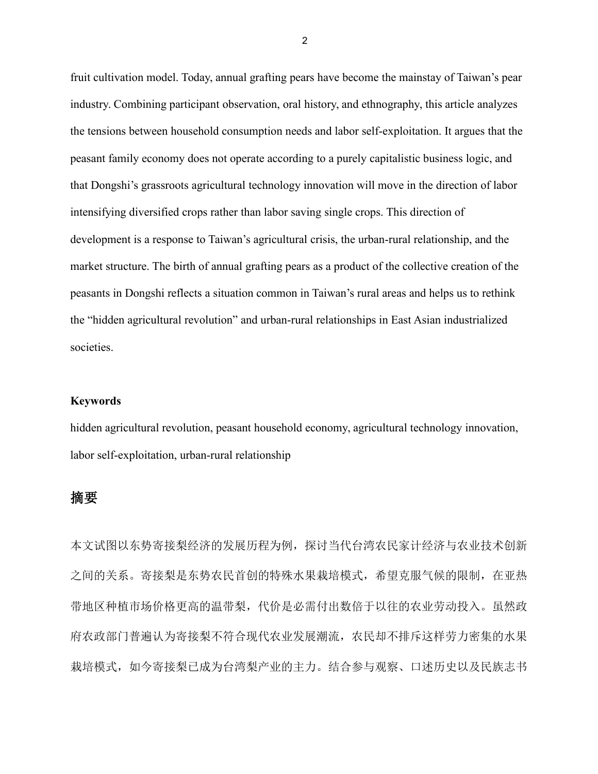fruit cultivation model. Today, annual grafting pears have become the mainstay of Taiwan's pear industry. Combining participant observation, oral history, and ethnography, this article analyzes the tensions between household consumption needs and labor self-exploitation. It argues that the peasant family economy does not operate according to a purely capitalistic business logic, and that Dongshi's grassroots agricultural technology innovation will move in the direction of labor intensifying diversified crops rather than labor saving single crops. This direction of development is a response to Taiwan's agricultural crisis, the urban-rural relationship, and the market structure. The birth of annual grafting pears as a product of the collective creation of the peasants in Dongshi reflects a situation common in Taiwan's ruralareas and helps us to rethink the "hidden agricultural revolution" and urban-rural relationships in East Asian industrialized societies.

# **Keywords**

hidden agricultural revolution, peasant household economy, agricultural technology innovation, labor self-exploitation, urban-rural relationship

# 摘要 しょうしょう しゅうしょう しゅうしょく

本文试图以东势寄接梨经济的发展历程为例,探讨当代台湾农民家计经济与农业技术创新 之间的关系。寄接梨是东势农民首创的特殊水果栽培模式,希望克服气候的限制,在亚热 带地区种植市场价格更高的温带梨,代价是必需付出数倍于以往的农业劳动投入。虽然政 府农政部门普遍认为寄接梨不符合现代农业发展潮流,农民却不排斥这样劳力密集的水果 栽培模式,如今寄接梨已成为台湾梨产业的主力。结合参与观察、口述历史以及民族志书

2 and 2 and 2 and 2 and 2 and 2 and 2 and 2 and 2 and 2 and 2 and 2 and 2 and 2 and 2 and 2 and 2 and 2 and 2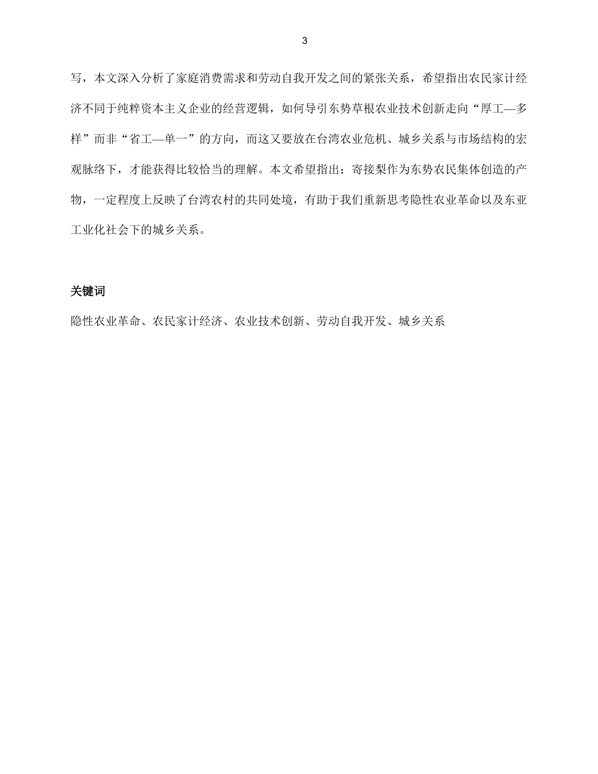写,本文深入分析了家庭消费需求和劳动自我开发之间的紧张关系,希望指出农民家计经 济不同于纯粹资本主义企业的经营逻辑,如何导引东势草根农业技术创新走向"厚工—多 样"而非"省工—单一"的方向,而这又要放在台湾农业危机、城乡关系与市场结构的宏 观脉络下,才能获得比较恰当的理解。本文希望指出:寄接梨作为东势农民集体创造的产 物,一定程度上反映了台湾农村的共同处境,有助于我们重新思考隐性农业革命以及东亚 工业化社会下的城乡关系。

# 关键词

隐性农业革命、农民家计经济、农业技术创新、劳动自我开发、城乡关系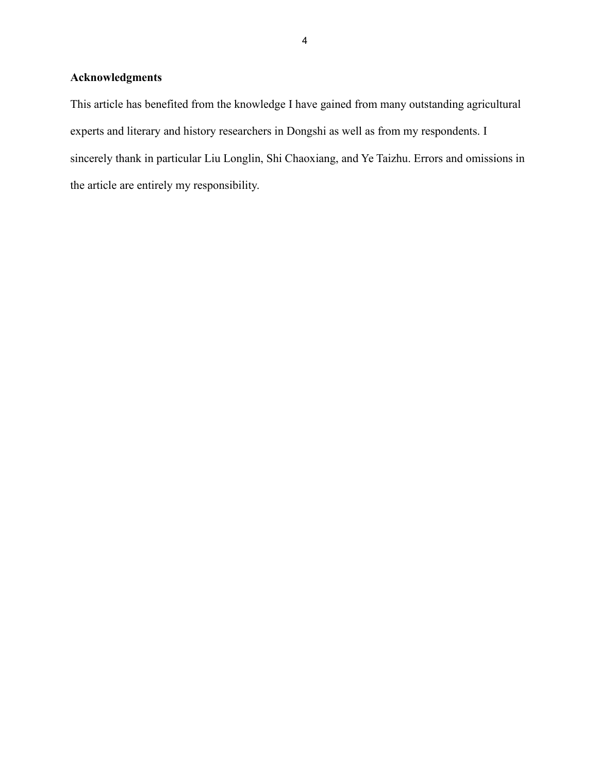# **Acknowledgments**

This article has benefited from the knowledge I have gained from many outstanding agricultural experts and literary and history researchers in Dongshi as well as from my respondents. I sincerely thank in particular Liu Longlin, Shi Chaoxiang, and Ye Taizhu. Errors and omissions in the article are entirely my responsibility.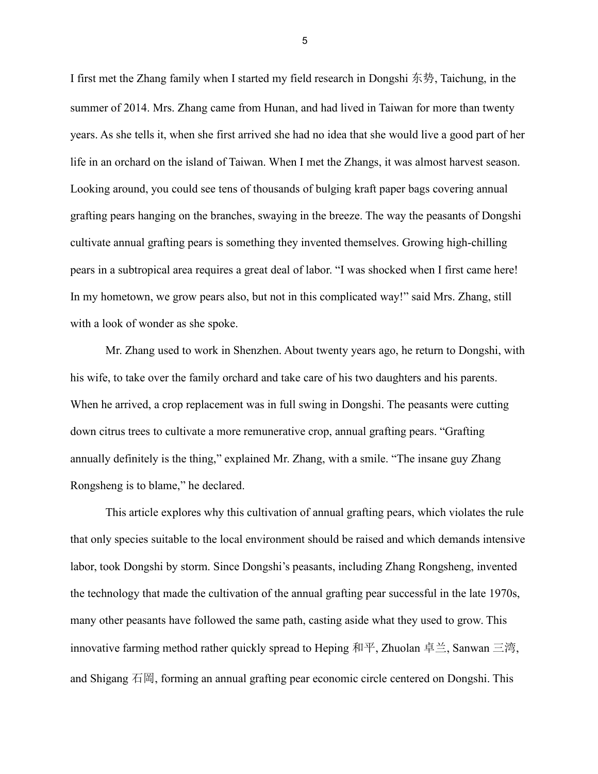I first met the Zhang family when I started my field research in Dongshi 东势, Taichung, in the summer of 2014. Mrs. Zhang came from Hunan, and had lived in Taiwan for more than twenty years. As she tells it, when she first arrived she had no idea that she would live a good part of her life in an orchard on the island of Taiwan. When I met the Zhangs, it was almost harvest season. Looking around, you could see tens of thousands of bulging kraft paper bags covering annual grafting pears hanging on the branches, swaying in the breeze. The way the peasants of Dongshi cultivate annual grafting pears is something they invented themselves. Growing high-chilling pears in a subtropical area requires a great deal of labor. "I was shocked when I first came here! In my hometown,we grow pears also, but not in this complicated way!" said Mrs. Zhang, still with a look of wonder as she spoke.

Mr. Zhang used to work in Shenzhen. About twenty years ago, he return to Dongshi, with his wife, to take over the family orchard and take care of his two daughters and his parents. When he arrived, a crop replacement was in full swing in Dongshi. The peasants were cutting down citrus trees to cultivate a more remunerative crop, annual grafting pears. "Grafting annually definitely is the thing," explained Mr. Zhang, with a smile. "The insane guy Zhang Rongsheng is to blame," he declared.

This article explores why this cultivation of annual grafting pears, which violates the rule that only species suitable to the local environment should be raised and which demands intensive labor, took Dongshi by storm. Since Dongshi's peasants, including Zhang Rongsheng, invented the technology that made the cultivation of the annual grafting pear successful in the late 1970s, many other peasants have followed the same path, casting aside what they used to grow. This innovative farming method rather quickly spread to Heping 和平, Zhuolan 卓兰, Sanwan 三湾, and Shigang  $\overline{A}$   $\overline{B}$ , forming an annual grafting pear economic circle centered on Dongshi. This

 $5<sub>5</sub>$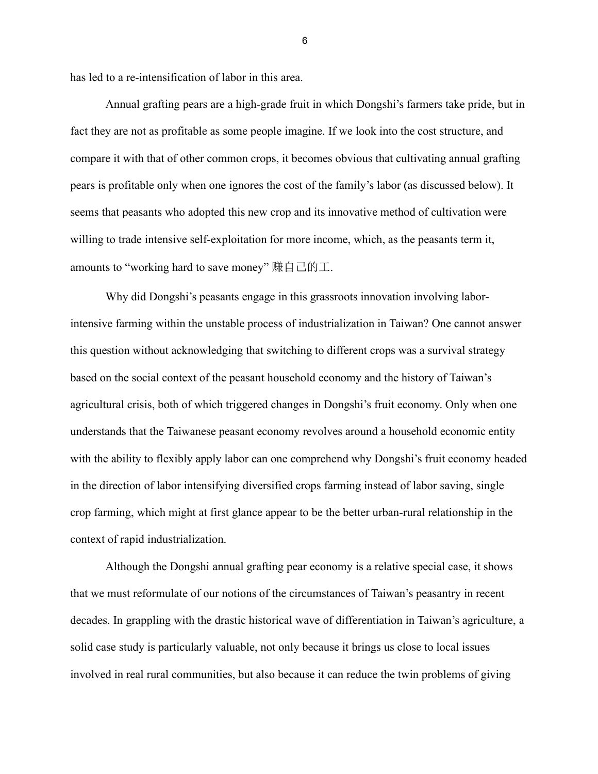has led to a re-intensification of labor in this area.

Annual grafting pears are a high-grade fruit in which Dongshi's farmers take pride, but in fact they are not as profitable as some people imagine. If we look into the cost structure, and compare it with that of other common crops, it becomes obvious that cultivating annual grafting pears is profitable only when one ignores the cost of the family's labor (as discussed below). It seems that peasants who adopted this new crop and its innovative method of cultivation were willing to trade intensive self-exploitation for more income, which, as the peasants term it, amounts to "working hard to save money" 赚自己的工.

Why did Dongshi's peasants engage in this grassroots innovation involving laborintensive farming within the unstable process of industrialization in Taiwan? One cannot answer this question without acknowledging that switching to different crops was a survival strategy based on the social context of the peasant household economy and the history of Taiwan's agricultural crisis, both of which triggered changes in Dongshi's fruit economy. Only when one understands that the Taiwanese peasant economy revolves around a household economic entity with the ability to flexibly apply labor can one comprehend why Dongshi's fruit economy headed in the direction of labor intensifying diversified crops farming instead of labor saving, single crop farming, which might at first glance appear to be the better urban-rural relationship in the context of rapid industrialization.

Although the Dongshi annual grafting pear economy is a relative special case, it shows that we must reformulate of our notions of the circumstances of Taiwan's peasantry in recent decades. In grappling with the drastic historical wave of differentiation in Taiwan's agriculture, a solid case study is particularly valuable, not only because it brings us close to local issues involved in real rural communities, but also because it can reduce the twin problems of giving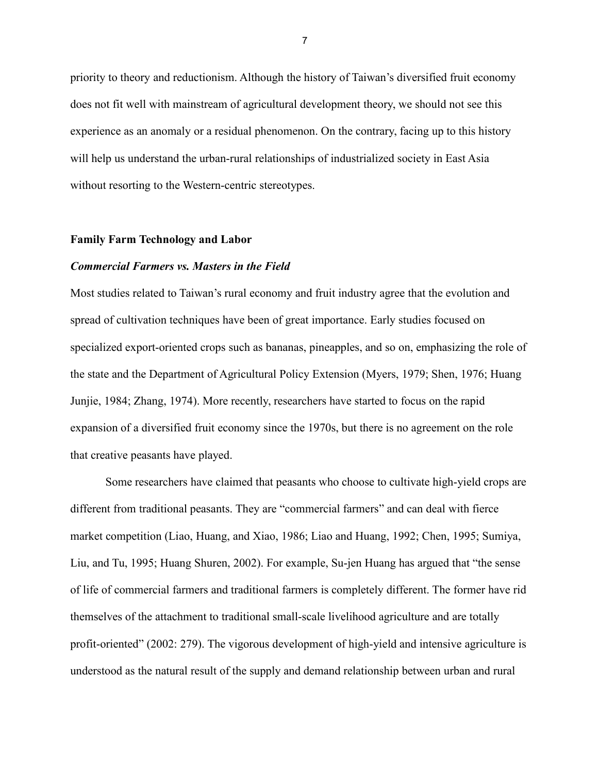priority to theory and reductionism. Although the history of Taiwan's diversified fruit economy does not fit well with mainstream of agricultural development theory, we should not see this experience as an anomaly or a residual phenomenon. On the contrary, facing up to this history will help us understand the urban-rural relationships of industrialized society in East Asia without resorting to the Western-centric stereotypes.

# **Family Farm Technology and Labor**

# *Commercial Farmers vs. Masters in the Field*

Most studies related to Taiwan's rural economy and fruit industry agree that the evolution and spread of cultivation techniques have been of great importance. Early studies focused on specialized export-oriented crops such as bananas, pineapples, and so on, emphasizing the role of the state and the Department of Agricultural Policy Extension (Myers, 1979; Shen, 1976; Huang Junjie, 1984; Zhang, 1974). More recently, researchers have started to focus on the rapid expansion of a diversified fruit economy since the 1970s, but there is no agreement on the role that creative peasants have played.

Some researchers have claimed that peasants who choose to cultivate high-yield crops are different from traditional peasants. They are "commercial farmers" and can deal with fierce market competition (Liao, Huang, and Xiao, 1986; Liao and Huang, 1992; Chen, 1995; Sumiya, Liu, and Tu, 1995; Huang Shuren, 2002). For example, Su-jen Huang has argued that "the sense of life of commercial farmers and traditional farmers is completely different. The former have rid themselves of the attachment to traditional small-scale livelihood agriculture and are totally profit-oriented" (2002: 279). The vigorous development of high-yield and intensive agriculture is understood as the natural result of the supply and demand relationship between urban and rural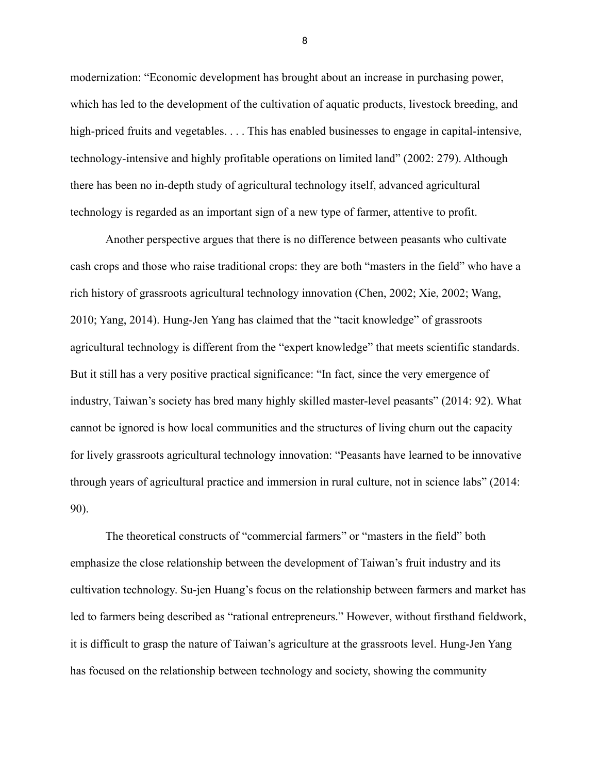modernization: "Economic development has brought about an increase in purchasing power, which has led to the development of the cultivation of aquatic products, livestock breeding, and high-priced fruits and vegetables.... This has enabled businesses to engage in capital-intensive, technology-intensive and highly profitable operations on limited land" (2002: 279). Although there has been no in-depth study of agricultural technology itself, advanced agricultural technology is regarded as an important sign of a new type of farmer, attentive to profit.

Another perspective argues that there is no difference between peasants who cultivate cash crops and those who raise traditional crops: they are both "masters in the field" who have a rich history of grassroots agricultural technology innovation (Chen, 2002; Xie, 2002; Wang, 2010; Yang, 2014). Hung-Jen Yang has claimed that the "tacit knowledge" of grassroots agricultural technology is different from the "expertknowledge" that meets scientific standards. But it still has a very positive practical significance: "In fact, since the very emergence of industry, Taiwan's society has bred many highly skilled master-level peasants" (2014: 92). What cannot be ignored is how local communities and the structures of living churn out the capacity for lively grassroots agricultural technology innovation: "Peasants have learned to be innovative through years of agricultural practice and immersion in rural culture, not in science labs" (2014: 90).

The theoretical constructs of"commercial farmers" or "masters in the field" both emphasize the close relationship between the development of Taiwan's fruit industry and its cultivation technology. Su-jen Huang's focus on the relationship between farmers and market has led to farmers being described as "rational entrepreneurs." However, without firsthand fieldwork, it is difficult to grasp the nature of Taiwan's agriculture at the grassroots level. Hung-Jen Yang has focused on the relationship between technology and society, showing the community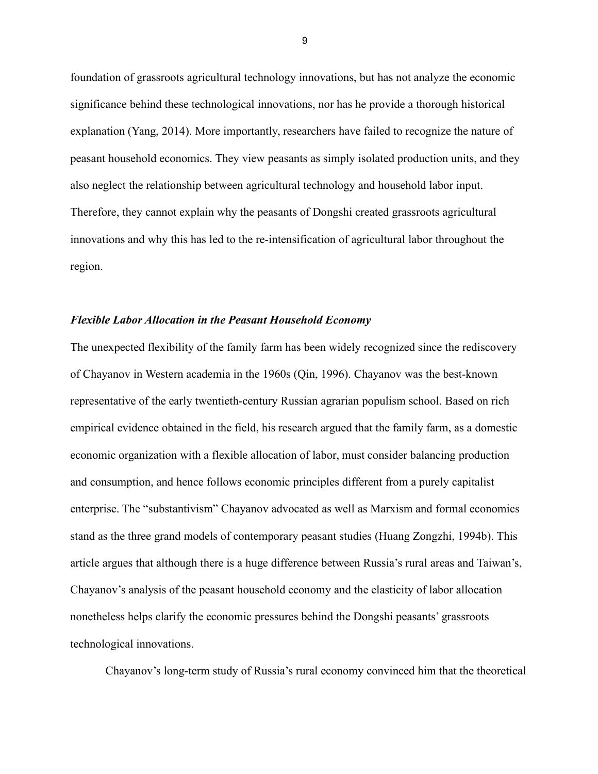foundation of grassroots agricultural technology innovations, but has not analyze the economic significance behind these technological innovations, nor has he provide a thorough historical explanation (Yang, 2014). More importantly, researchers have failed to recognize the nature of peasant household economics. They view peasants as simply isolated production units, and they also neglect the relationship between agricultural technology and household labor input. Therefore, they cannot explain why the peasants of Dongshi created grassroots agricultural innovations and why this has led to the re-intensification of agricultural labor throughout the region.

#### *Flexible Labor Allocation in the Peasant Household Economy*

The unexpected flexibility of the family farm has been widely recognized since the rediscovery of Chayanov in Western academia in the 1960s (Qin, 1996). Chayanov was the best-known representative of the early twentieth-century Russian agrarian populism school. Based on rich empirical evidence obtained in the field, his research argued that the family farm, as a domestic economic organization with a flexible allocation of labor, must consider balancing production and consumption, and hence follows economic principles different from a purely capitalist enterprise. The "substantivism" Chayanov advocated as well as Marxism and formal economics stand as the three grand models of contemporary peasant studies (Huang Zongzhi, 1994b). This article argues that although there is a huge difference between Russia's ruralareas and Taiwan's, Chayanov's analysis of the peasant household economy and the elasticity of labor allocation nonetheless helps clarify the economic pressures behind the Dongshi peasants' grassroots technological innovations.

Chayanov's long-term study of Russia's ruraleconomy convinced him that the theoretical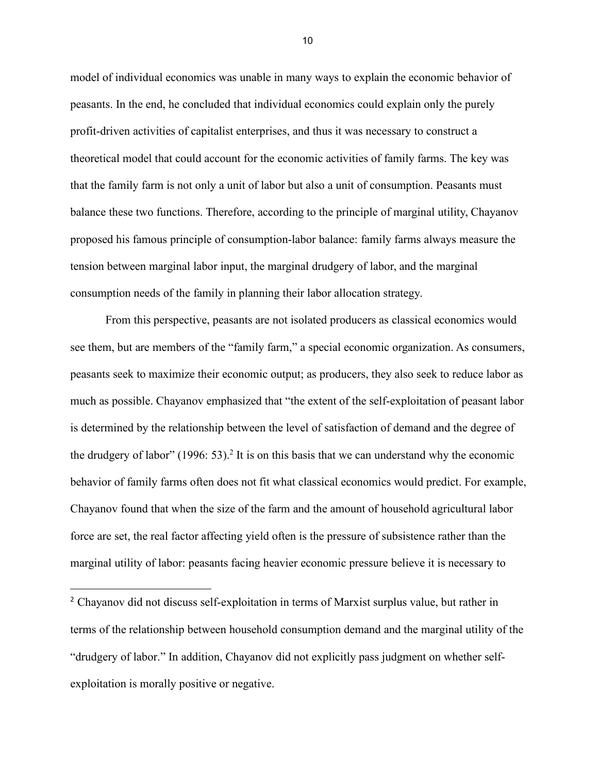model of individual economics was unable in many ways to explain the economic behavior of peasants. In the end, he concluded that individual economics could explain only the purely profit-driven activities of capitalist enterprises, and thus it was necessary to construct a theoretical model that could account for the economic activities of family farms. The key was that the family farm is not only a unit of labor but also a unit of consumption. Peasants must balance these two functions. Therefore, according to the principle of marginal utility, Chayanov proposed his famous principle of consumption-labor balance: family farms always measure the tension between marginal labor input, the marginal drudgery of labor, and the marginal consumption needs of the family in planning their labor allocation strategy.

From this perspective, peasants are not isolated producers as classical economics would see them, but are members of the "family farm," a special economic organization. As consumers, peasants seek to maximize their economic output; as producers, they also seek to reduce labor as much as possible. Chayanov emphasized that "the extent of the self-exploitation of peasant labor is determined by the relationship between the level of satisfaction of demand and the degree of the drudgery of labor" (1996: 53).<sup>[2](#page-9-0)</sup> It is on this basis that we can understand why the economic behavior of family farms often doesnot fit what classical economics would predict. For example, Chayanov found that when the size of the farm and the amount of household agricultural labor force are set, the real factor affecting yield often is the pressure of subsistence rather than the marginal utility of labor: peasants facing heavier economic pressure believe it is necessary to

<span id="page-9-0"></span><sup>&</sup>lt;sup>2</sup> Chayanov did not discuss self-exploitation in terms of Marxist surplus value, but rather in terms of the relationship between household consumption demand and the marginal utility of the "drudgery of labor." In addition, Chayanov did not explicitly pass judgment on whether self exploitation is morally positive or negative.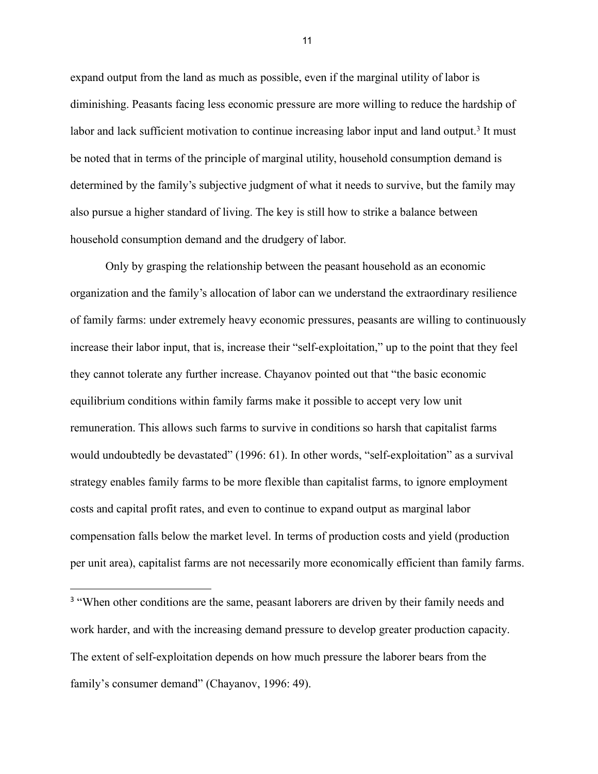expand output from the land as much as possible, even if the marginal utility of labor is diminishing. Peasants facing less economic pressure are more willing to reduce the hardship of labor and lack sufficient motivation to continue increasing labor input and land output.<sup>[3](#page-10-0)</sup> It must be noted that in terms of the principle of marginal utility, household consumption demand is determined by the family's subjective judgment of what it needs to survive, but the family may also pursue a higher standard of living. The key is still how to strike a balance between household consumption demand and the drudgery of labor.

Only by grasping the relationship between the peasant household as an economic organization and the family's allocation of labor can we understand the extraordinary resilience of family farms: under extremely heavy economic pressures, peasants are willing to continuously increase their labor input, that is, increase their "self-exploitation," up to the point that they feel they cannot tolerate any further increase. Chayanov pointed out that "the basic economic equilibrium conditions within family farms make it possible to accept very low unit remuneration. This allows such farms to survive in conditions so harsh that capitalist farms would undoubtedly be devastated" (1996: 61). In other words, "self-exploitation" as a survival strategy enables family farms to be more flexible than capitalist farms, to ignore employment costs and capital profit rates, and even to continue to expand output as marginal labor compensation falls below the market level. In terms of production costs and yield (production per unit area), capitalist farms are not necessarily more economically efficient than family farms.

<span id="page-10-0"></span><sup>&</sup>lt;sup>3</sup> "When other conditions are the same, peasant laborers are driven by their family needs and work harder, and with the increasing demand pressure to develop greater production capacity. The extent of self-exploitation depends on how much pressure the laborer bears from the family's consumer demand" (Chayanov, 1996: 49).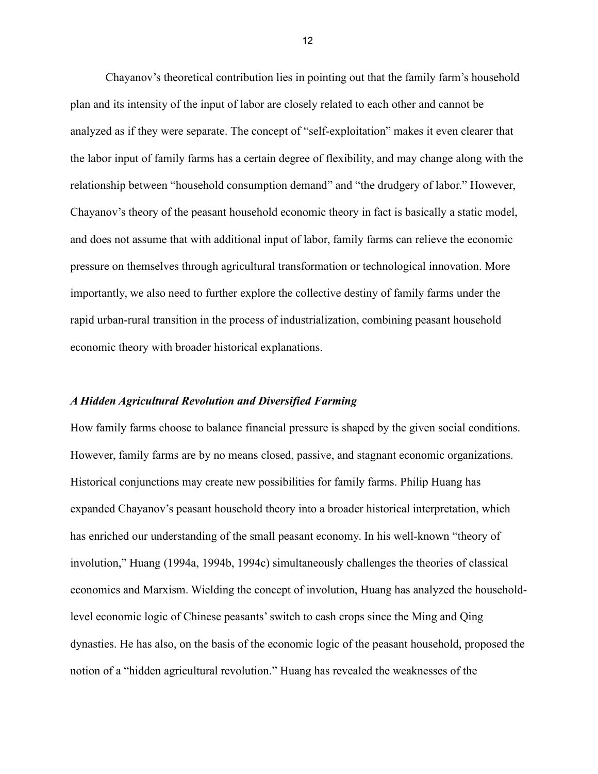Chayanov's theoretical contribution lies in pointing out that the family farm's household plan and its intensity of the input of labor are closely related to each other and cannot be analyzed as if they were separate. The concept of "self-exploitation" makes it even clearer that the labor input of family farms has a certain degree of flexibility, and may change along with the relationship between "household consumption demand" and "the drudgery of labor." However, Chayanov's theory of the peasant household economic theory in fact is basically a static model, and does not assume that with additional input of labor, family farms can relieve the economic pressure on themselves through agricultural transformation or technological innovation. More importantly, we also need to further explore the collective destiny of family farms under the rapid urban-rural transition in the process of industrialization, combining peasant household economic theory with broader historical explanations.

# *A Hidden AgriculturalRevolution and Diversified Farming*

How family farms choose to balance financial pressure is shaped by the given social conditions. However, family farms are by no means closed, passive, and stagnant economic organizations. Historical conjunctions may create new possibilities for family farms. Philip Huang has expanded Chayanov's peasant household theory into a broader historical interpretation, which has enriched our understanding of the small peasant economy. In his well-known "theory of involution," Huang (1994a, 1994b, 1994c) simultaneously challenges the theories ofclassical economics and Marxism. Wielding the concept of involution, Huang has analyzed the householdlevel economic logic of Chinese peasants'switch to cash crops since the Ming and Qing dynasties. He has also, on the basis of the economic logic of the peasant household, proposed the notion of a "hidden agricultural revolution." Huang has revealed the weaknesses of the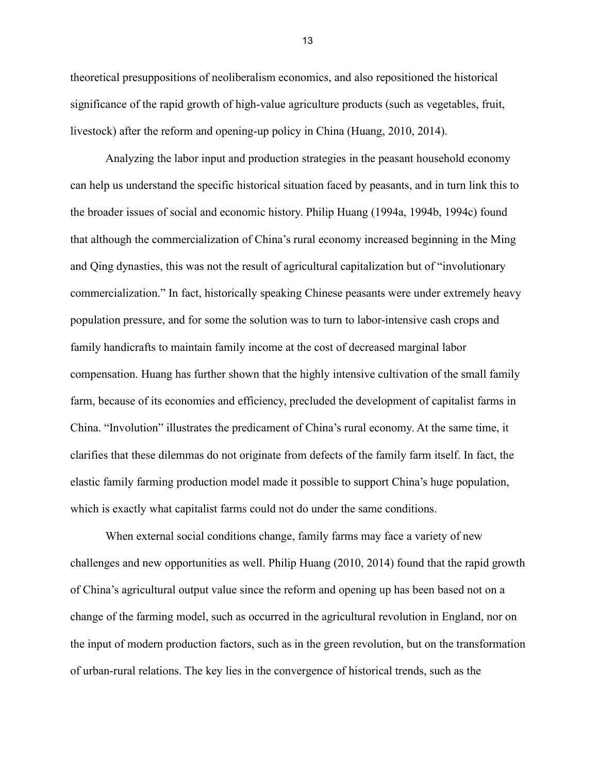theoretical presuppositions of neoliberalism economics, and also repositioned the historical significance of the rapid growth of high-value agriculture products (such as vegetables, fruit, livestock) after the reform and opening-up policy in China (Huang, 2010, 2014).

Analyzing the labor input and production strategies in the peasant household economy can help us understand the specific historical situation faced by peasants, and in turn link this to the broader issues of social and economic history. Philip Huang (1994a, 1994b, 1994c) found that although the commercialization of China's ruraleconomy increased beginning in the Ming and Qing dynasties, this was not the result of agricultural capitalization but of "involutionary commercialization." In fact, historically speaking Chinese peasants were under extremely heavy population pressure, and for some the solution was to turn to labor-intensive cash crops and family handicrafts to maintain family income at the cost of decreased marginal labor compensation. Huang has further shown that the highly intensive cultivation of the small family farm, because of its economies and efficiency, precluded the development of capitalist farms in China. "Involution" illustrates the predicament of China's ruraleconomy. At the same time, it clarifies that these dilemmas do not originate from defects of the family farm itself. In fact, the elastic family farming production model made it possible to support China's huge population, which is exactly what capitalist farms could not do under the same conditions.

When external social conditions change, family farms may face a variety of new challenges and new opportunities as well. Philip Huang (2010, 2014) found that the rapid growth of China's agricultural output value since the reform and opening up has been based not on a change of the farming model, such as occurred in the agricultural revolution in England, nor on the input of modern production factors, such as in the green revolution, but on the transformation of urban-rural relations. The key lies in the convergence of historical trends, such as the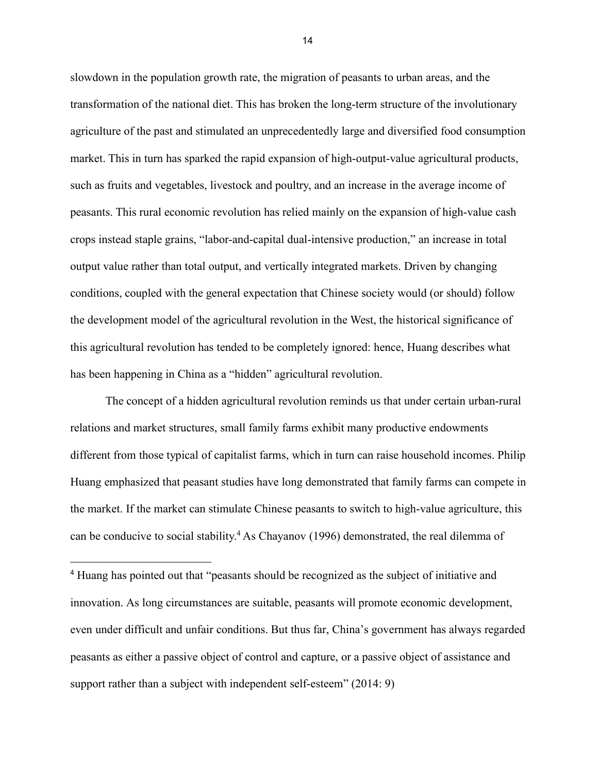slowdown in the population growth rate, the migration of peasants to urban areas, and the transformation of the national diet. This has broken the long-term structure of the involutionary agriculture of the past and stimulated an unprecedentedly large and diversified food consumption market. This in turn has sparked the rapid expansion of high-output-value agricultural products, such as fruits and vegetables, livestock and poultry, and an increase in the average income of peasants. This ruraleconomic revolution has relied mainly on the expansion of high-value cash crops instead staple grains, "labor-and-capital dual-intensive production," an increase in total output value rather than total output, and vertically integrated markets. Driven by changing conditions, coupled with the general expectation that Chinese society would (or should) follow the development model of the agricultural revolution in the West, the historical significance of this agricultural revolution has tended to be completely ignored: hence, Huang describes what has been happening in China as a "hidden" agricultural revolution.

The concept of a hidden agricultural revolution reminds us that under certain urban-rural relations and market structures, small family farms exhibit many productive endowments different from those typical of capitalist farms, which in turn can raise household incomes. Philip Huang emphasized that peasant studies have long demonstrated that family farms can compete in the market. If the market can stimulate Chinese peasants to switch to high-value agriculture, this can be conducive to social stability.<sup>[4](#page-13-0)</sup> As Chayanov (1996) demonstrated, the real dilemma of

<span id="page-13-0"></span><sup>4</sup> Huang has pointed out that "peasants should be recognized as the subject of initiative and innovation. As long circumstances are suitable, peasants will promote economic development, even under difficult and unfair conditions. But thus far, China's government has always regarded peasants as either a passive object of control and capture, or a passive object of assistance and support rather than a subject with independent self-esteem" (2014: 9)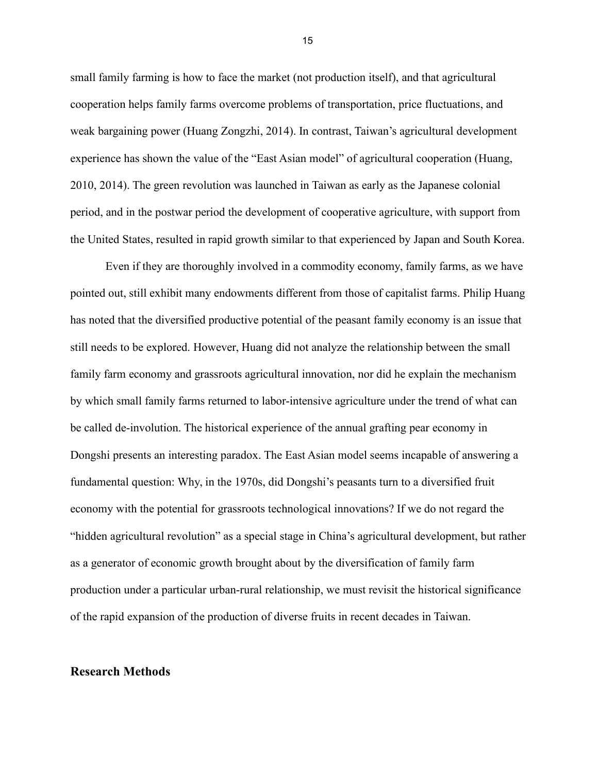small family farming is how to face the market (not production itself), and that agricultural cooperation helps family farms overcome problems of transportation, price fluctuations, and weak bargaining power (Huang Zongzhi, 2014). In contrast, Taiwan's agricultural development experience has shown the value of the "East Asian model" of agricultural cooperation (Huang, 2010, 2014). The green revolution was launched in Taiwan as early as the Japanese colonial period, and in the postwar period the development of cooperative agriculture, with support from the United States, resulted in rapid growth similar to that experienced by Japan and South Korea.

Even if they are thoroughly involved in a commodity economy, family farms, as we have pointed out, still exhibit many endowments different from those of capitalist farms. Philip Huang has noted that the diversified productive potential of the peasant family economy is an issue that still needs to be explored. However, Huang did not analyze the relationship between the small family farm economy and grassroots agricultural innovation, nor did he explain the mechanism by which small family farms returned to labor-intensive agriculture under the trend of what can be called de-involution. The historical experience of the annual grafting pear economy in Dongshi presents an interesting paradox. The East Asian model seems incapable of answering a fundamental question: Why, in the 1970s, did Dongshi's peasants turn to a diversified fruit economy with the potential for grassroots technological innovations? If we do not regard the "hidden agricultural revolution" as a special stage in China's agricultural development, but rather as a generator of economic growth brought about by the diversification of family farm production under a particular urban-rural relationship, we must revisit the historical significance of the rapid expansion of the production of diverse fruits in recent decades in Taiwan.

# **Research Methods**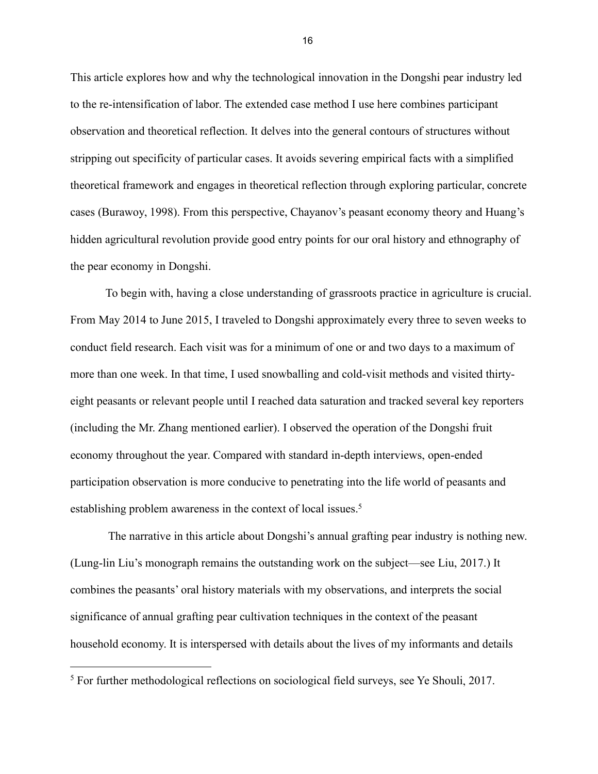This article explores how and why the technological innovation in the Dongshi pear industry led to the re-intensification of labor. The extended case method I use here combines participant observation and theoretical reflection. It delves into the general contours of structures without stripping out specificity of particular cases. It avoids severing empirical facts with a simplified theoretical framework and engages in theoretical reflection through exploring particular, concrete cases (Burawoy, 1998). From this perspective, Chayanov's peasant economy theory and Huang's hidden agricultural revolution provide good entry points for our oral history and ethnography of the pear economy in Dongshi.

To begin with, having a close understanding of grassroots practice in agriculture is crucial. From May 2014 to June 2015, I traveled to Dongshi approximately every three to seven weeks to conduct field research. Each visit was for a minimum of one or and two days to a maximum of more than one week. In that time, I used snowballing and cold-visit methods and visited thirty eight peasants or relevant people until I reached data saturation and tracked several key reporters (including the Mr. Zhang mentioned earlier). I observed the operation of the Dongshi fruit economy throughout the year. Compared with standard in-depth interviews, open-ended participation observation is more conducive to penetrating into the life world of peasants and establishing problem awareness in the context of local issues.<sup>[5](#page-15-0)</sup>

The narrative in this article about Dongshi's annual grafting pear industry is nothing new. (Lung-lin Liu's monograph remains the outstanding work on the subject—see Liu, 2017.) It combines the peasants' oral history materials with my observations, and interprets the social significance of annual grafting pear cultivation techniques in the context of the peasant household economy. It is interspersed with details about the lives of my informants and details

<span id="page-15-0"></span><sup>5</sup> For further methodological reflections on sociological field surveys, see Ye Shouli, 2017.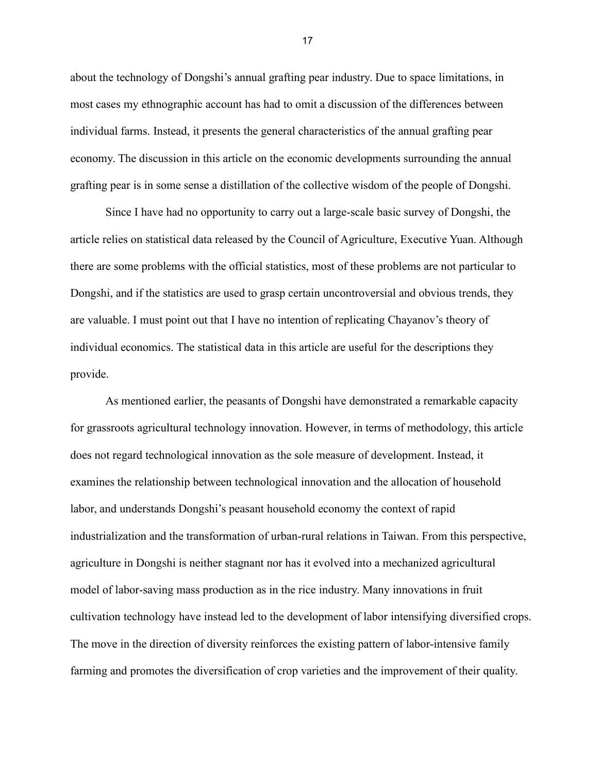about the technology of Dongshi's annual grafting pear industry. Due to space limitations, in most cases my ethnographic account has had to omit a discussion of the differences between individual farms. Instead, it presents the general characteristics of the annual grafting pear economy. The discussion in this article on the economic developments surrounding the annual grafting pear is in some sense a distillation of the collective wisdom of the people of Dongshi.

Since I have had no opportunity to carry out a large-scale basic survey of Dongshi, the article relies on statistical data released by the Council of Agriculture, Executive Yuan. Although there are some problems with the official statistics, most of these problems are not particular to Dongshi, and if the statistics are used to grasp certain uncontroversial and obvious trends, they are valuable. I must point out that I have no intention of replicating Chayanov's theory of individual economics. The statistical data in this article are useful for the descriptions they provide.<br>As mentioned earlier, the peasants of Dongshi have demonstrated a remarkable capacity

for grassroots agricultural technology innovation. However, in terms of methodology, this article does not regard technological innovation as the sole measure of development. Instead, it examines the relationship between technological innovation and the allocation of household labor, and understands Dongshi's peasant household economy the context of rapid industrialization and the transformation of urban-rural relations in Taiwan. From this perspective, agriculture in Dongshi is neither stagnant nor has it evolved into a mechanized agricultural model of labor-saving mass production as in the rice industry.Many innovations in fruit cultivation technology have instead led to the development of labor intensifying diversified crops. The move in the direction of diversity reinforces the existing pattern of labor-intensive family farming and promotes the diversification of crop varieties and the improvement of their quality.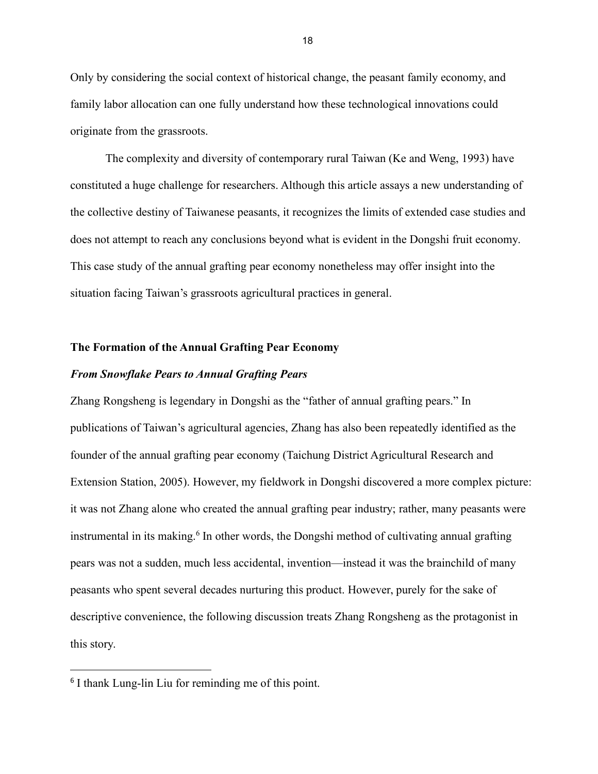Only by considering the social context of historical change, the peasant family economy, and family labor allocation can one fully understand how these technological innovations could originate from the grassroots.

The complexity and diversity of contemporary rural Taiwan (Ke and Weng, 1993) have constituted a huge challenge for researchers. Although this article assays a new understanding of the collective destiny of Taiwanese peasants, it recognizes the limits of extended case studies and does not attempt to reach any conclusions beyond what is evident in the Dongshi fruit economy. This case study of the annual grafting pear economy nonetheless may offer insight into the situation facing Taiwan's grassroots agricultural practices in general.

### **The Formation of the Annual Grafting Pear Economy**

# *From Snowflake Pears to Annual Grafting Pears*

Zhang Rongsheng is legendary in Dongshi as the "father of annual grafting pears." In publications of Taiwan's agricultural agencies, Zhang has also been repeatedly identified as the founder of the annual grafting pear economy (Taichung District Agricultural Research and Extension Station, 2005). However, my fieldwork in Dongshi discovered a more complex picture: it was not Zhang alone who created the annual grafting pear industry; rather, many peasants were instrumental in its making.<sup>[6](#page-17-0)</sup> In other words, the Dongshi method of cultivating annual grafting pears was not a sudden, much less accidental, invention—instead it was the brainchild of many peasants who spent several decades nurturing this product. However, purely for the sake of descriptive convenience, the following discussion treats Zhang Rongsheng as the protagonist in this story.

<span id="page-17-0"></span><sup>6</sup> I thank Lung-lin Liu for reminding me of this point.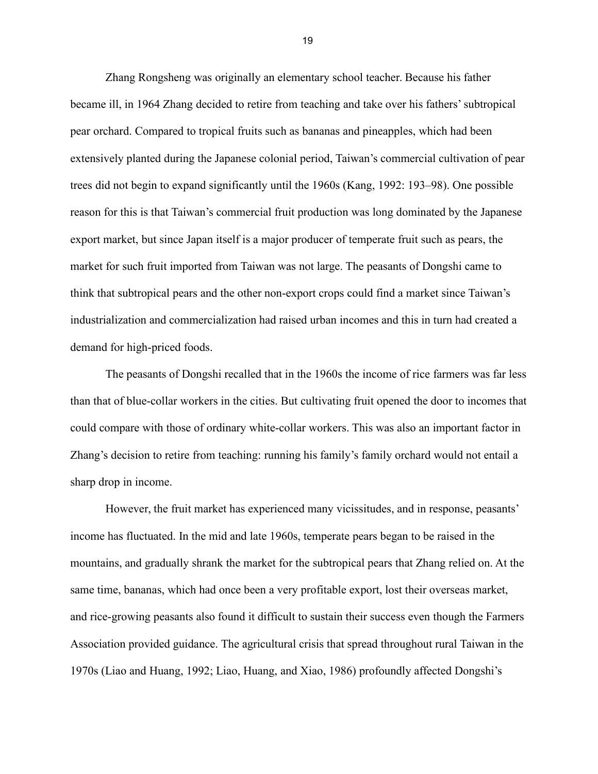Zhang Rongsheng was originally an elementary school teacher. Because his father became ill, in 1964 Zhang decided to retire from teaching and take over his fathers' subtropical pear orchard. Compared to tropical fruits such as bananas and pineapples, which had been extensively planted during the Japanese colonial period, Taiwan's commercial cultivation of pear trees did not begin to expand significantly until the 1960s (Kang, 1992: 193–98). One possible reason for this is that Taiwan's commercial fruit production was long dominated by the Japanese export market, but since Japan itself is a major producer of temperate fruit such as pears, the market for such fruit imported from Taiwan was not large. The peasants of Dongshi came to think that subtropical pears and the other non-export crops could find a market since Taiwan's industrialization and commercialization had raised urban incomes and this in turn had created a demand for high-priced foods.

The peasants of Dongshi recalled that in the 1960s the income of rice farmers was far less than that of blue-collar workers in the cities. But cultivating fruit opened the doorto incomes that could compare with those of ordinary white-collar workers. This was also an important factor in Zhang's decision to retire from teaching: running his family's family orchard would not entail a sharp drop in income.

However, the fruit market has experienced many vicissitudes, and in response, peasants' income has fluctuated. In the mid and late 1960s, temperate pears began to be raised in the mountains, and gradually shrank the market for the subtropical pears that Zhang relied on. At the same time, bananas, which had once been a very profitable export, lost their overseas market, and rice-growing peasants also found it difficult to sustain their success even though the Farmers Association provided guidance. The agricultural crisis that spread throughout rural Taiwan in the 1970s (Liao and Huang, 1992; Liao, Huang, and Xiao, 1986) profoundly affected Dongshi's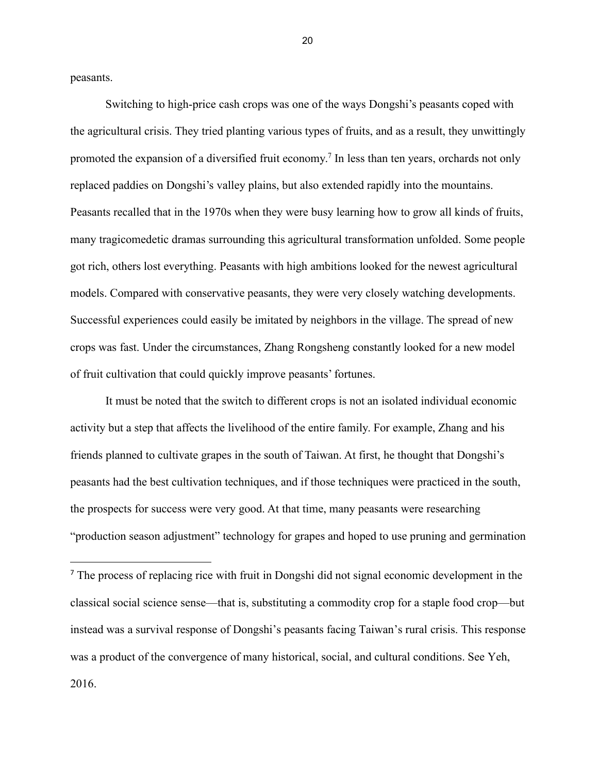peasants.

Switching to high-price cash crops was one of the ways Dongshi's peasants coped with the agricultural crisis. They tried planting various types of fruits, and as a result, they unwittingly promoted the expansion of a diversified fruit economy.[7](#page-19-0) In less than ten years, orchards not only replaced paddies on Dongshi's valley plains, but also extended rapidly into the mountains. Peasants recalled that in the 1970s when they were busy learning how to grow all kinds of fruits, many tragicomedetic dramas surrounding this agricultural transformation unfolded. Some people got rich, others lost everything. Peasants with high ambitions looked for the newest agricultural models. Compared with conservative peasants, they were very closely watching developments. Successful experiences could easily be imitated by neighbors in the village. The spread of new crops was fast. Under the circumstances, Zhang Rongsheng constantly looked for a new model of fruit cultivation that could quickly improve peasants' fortunes.

It must be noted that the switch to different crops is not an isolated individual economic activity but a step that affects the livelihood of the entire family. For example, Zhang and his friends planned to cultivate grapes in the south of Taiwan. At first, he thought that Dongshi's peasants had the best cultivation techniques, and if those techniques were practiced in the south, the prospects for success were very good. At that time, many peasants were researching "production season adjustment" technology for grapes and hoped to use pruning and germination

<span id="page-19-0"></span><sup>7</sup> The process of replacing rice with fruit in Dongshi did not signal economic development in the classical social science sense—that is, substituting a commodity crop for a staple food crop—but instead was a survival response of Dongshi's peasants facing Taiwan's rural crisis. This response was a product of the convergence of many historical, social, and cultural conditions. See Yeh, 2016.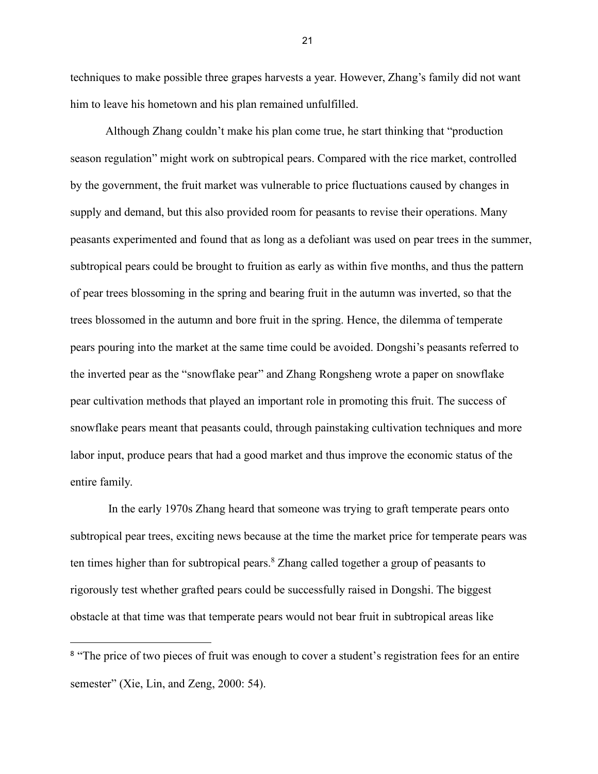techniques to make possible three grapes harvests a year. However, Zhang's family did not want him to leave his hometown and his plan remained unfulfilled.

Although Zhang couldn't make his plan come true, he start thinking that "production season regulation" might work on subtropical pears. Compared with the rice market, controlled by the government, the fruit market was vulnerable to price fluctuations caused by changes in supply and demand, but this also provided room for peasants to revise their operations. Many peasants experimented and found that as long as a defoliant was used on pear trees in the summer, subtropical pears could be brought to fruition as early as within five months, and thus the pattern of pear trees blossoming in the spring and bearing fruit in the autumn was inverted, so that the trees blossomed in the autumn and bore fruit in the spring. Hence, the dilemma of temperate pears pouring into the market at the same time could be avoided. Dongshi's peasants referred to the inverted pear as the "snowflake pear" and Zhang Rongsheng wrote a paper on snowflake pear cultivation methods that played an important role in promoting this fruit. The success of snowflake pears meant that peasants could, through painstaking cultivation techniques and more labor input, produce pears that had a good market and thus improve the economic status of the entire family.

In the early 1970s Zhang heard that someone was trying to graft temperate pears onto subtropical pear trees, exciting news because at the time the market price for temperate pears was ten times higher than for subtropical pears.[8](#page-20-0) Zhang called together a group of peasants to rigorously test whether grafted pears could be successfully raised in Dongshi. The biggest obstacle at that time was that temperate pears would not bear fruit in subtropical areas like

<span id="page-20-0"></span><sup>&</sup>lt;sup>8</sup> "The price of two pieces of fruit was enough to cover a student's registration fees for an entire semester" (Xie, Lin, and Zeng, 2000: 54).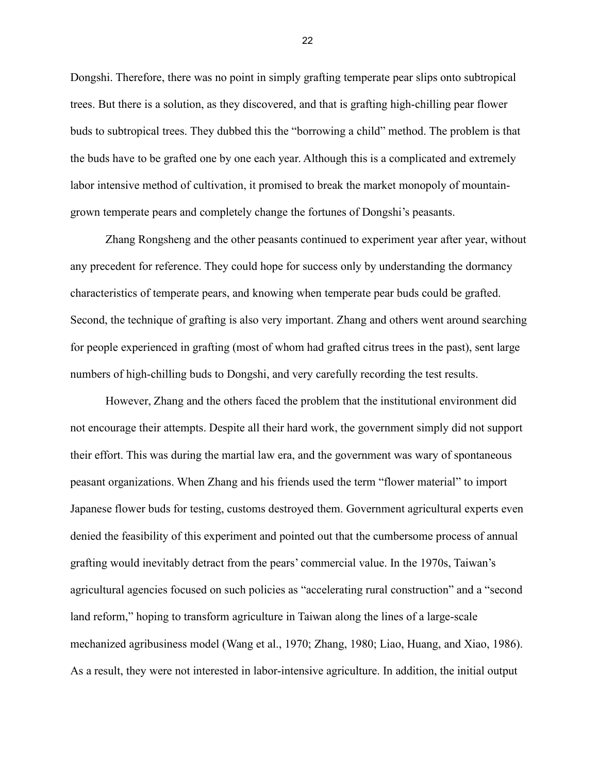Dongshi. Therefore, there was no point in simply grafting temperate pear slips onto subtropical trees. But there is a solution, as they discovered, and that is grafting high-chilling pear flower buds to subtropical trees. They dubbed this the "borrowing a child" method. The problem is that the buds have to be grafted one by one each year. Although this is a complicated and extremely labor intensive method of cultivation, it promised to break the market monopoly of mountain grown temperate pears and completely change the fortunes of Dongshi's peasants.

Zhang Rongsheng and the other peasants continued to experiment year after year, without any precedent for reference. They could hope for success only by understanding the dormancy characteristics of temperate pears, and knowing when temperate pear buds could be grafted. Second, the technique of grafting is also very important. Zhang and others went around searching for people experienced in grafting (most of whom had grafted citrus trees in the past), sent large numbers of high-chilling buds to Dongshi, and very carefully recording the test results.

However, Zhang and the others faced the problem that the institutional environment did not encourage their attempts. Despite all their hard work, the government simply did not support their effort. This was during the martial law era, and the government was wary of spontaneous peasant organizations. When Zhang and his friends used the term "flower material" to import Japanese flower buds for testing, customs destroyed them. Government agricultural experts even denied the feasibility of this experiment and pointed out that the cumbersome process of annual grafting would inevitably detract from the pears' commercial value. In the 1970s, Taiwan's agricultural agencies focused on such policies as "accelerating rural construction" and a "second land reform," hoping to transform agriculture in Taiwan along the lines of a large-scale mechanized agribusiness model (Wang et al., 1970; Zhang, 1980; Liao, Huang, and Xiao, 1986). As a result, they were not interested in labor-intensive agriculture. In addition, the initial output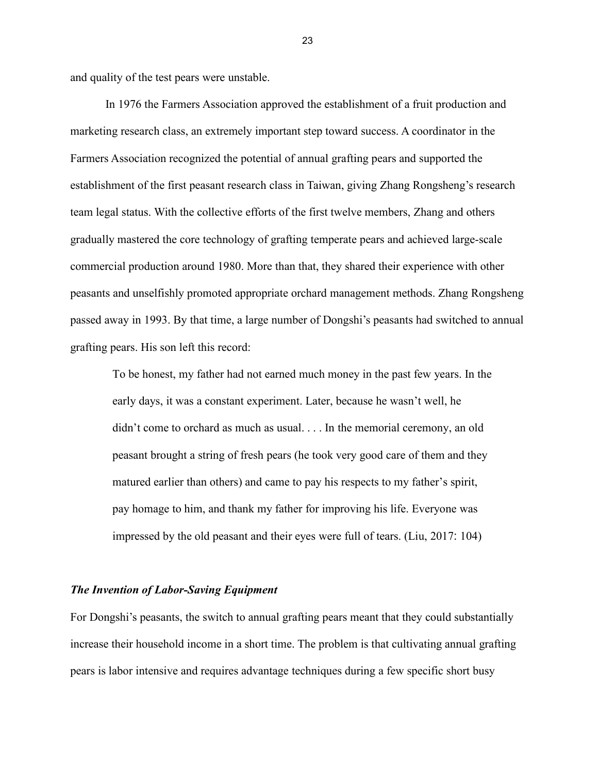and quality of the test pears were unstable.

In 1976 the Farmers Association approved the establishment of a fruit production and marketing research class, an extremely important step toward success. A coordinator in the Farmers Association recognized the potential of annual grafting pears and supported the establishment of the first peasant research class in Taiwan, giving Zhang Rongsheng's research team legal status. With the collective efforts of the first twelve members, Zhang and others gradually mastered the core technology of grafting temperate pears and achieved large-scale commercial production around 1980. More than that, they shared their experience with other peasants and unselfishly promoted appropriate orchard management methods. Zhang Rongsheng passed away in 1993. By that time, a large number of Dongshi's peasants had switched to annual grafting pears. His son left this record:

To be honest, my father had not earned much money in the past few years. In the early days, it was a constant experiment. Later, because he wasn't well, he didn't come to orchard as much as usual.. .. In the memorial ceremony, an old peasant brought a string of fresh pears (he took very good care of them and they matured earlier than others) and came to pay his respects to my father's spirit, pay homage to him, and thank my father for improving his life. Everyone was impressed by the old peasant and their eyes were full of tears. (Liu, 2017: 104)

# *The Invention of Labor-Saving Equipment*

For Dongshi's peasants, the switch to annual grafting pears meant that they could substantially increase their household income in a short time. The problem is that cultivating annual grafting pears is labor intensive and requires advantage techniques during a few specific short busy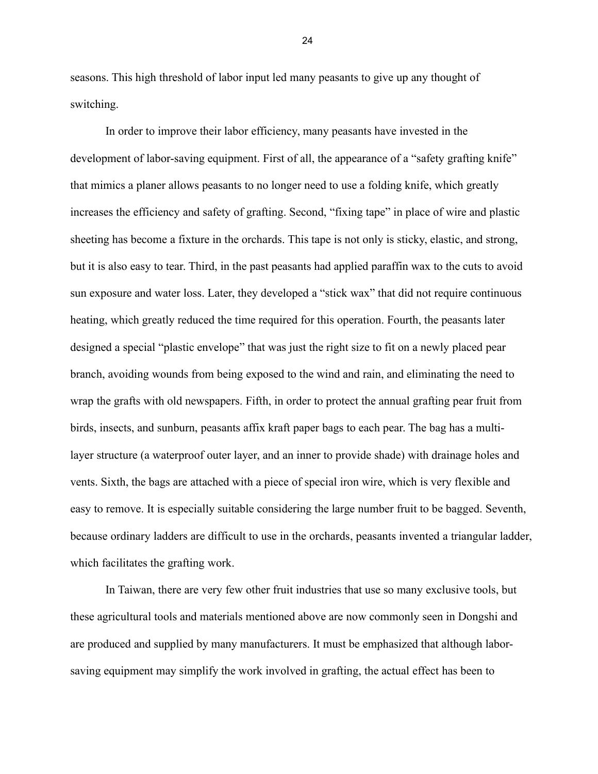seasons. This high threshold of labor input led many peasants to give up any thought of switching.

In order to improve their labor efficiency, many peasants have invested in the development of labor-saving equipment. First of all, the appearance of a "safety grafting knife" that mimics a planer allows peasants to no longer need to use a folding knife, which greatly increases the efficiency and safety of grafting. Second, "fixing tape" in place of wire and plastic sheeting has become a fixture in the orchards. This tape is not only is sticky, elastic, and strong, but it is also easy to tear. Third, in the past peasants had applied paraffin wax to the cuts to avoid sun exposure and water loss. Later, they developed a "stick wax" that did not require continuous heating, which greatly reduced the time required for this operation. Fourth, the peasants later designed a special "plastic envelope" that was just the right size to fit on a newly placed pear branch, avoiding wounds from being exposed to the wind and rain, and eliminating the need to wrap the grafts with old newspapers. Fifth, in order to protect the annual grafting pear fruit from birds, insects, and sunburn, peasants affix kraft paper bags to each pear. The bag has a multilayer structure (a waterproof outer layer, and an inner to provide shade) with drainage holes and vents. Sixth, the bags are attached with a piece of special iron wire, which is very flexible and easy to remove. It is especially suitable considering the large number fruit to be bagged. Seventh, because ordinary ladders are difficult to use in the orchards, peasants invented a triangular ladder, which facilitates the grafting work.

In Taiwan, there are very few other fruit industries that use so many exclusive tools, but these agricultural tools and materials mentioned above are now commonly seen in Dongshi and are produced and supplied by many manufacturers. It must be emphasized that although labor saving equipment may simplify the work involved in grafting, the actual effect has been to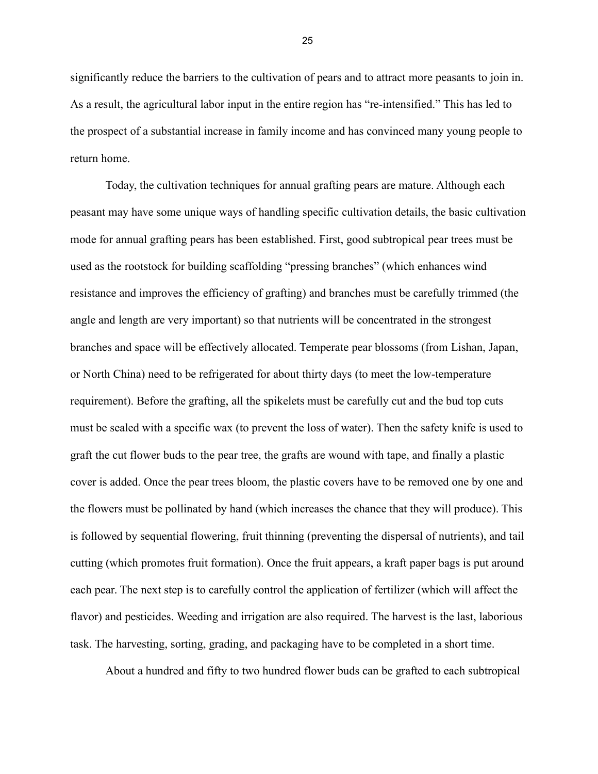significantly reduce the barriers to the cultivation of pears and to attract more peasants to join in. As a result, the agricultural labor input in the entire region has "re-intensified." This has led to the prospect of a substantial increase in family income and has convinced many young people to return home.

Today, the cultivation techniques for annual grafting pears are mature. Although each peasant may have some unique ways of handling specific cultivation details, the basic cultivation mode for annual grafting pears has been established. First, good subtropical pear trees must be used as the rootstock for building scaffolding "pressing branches" (which enhances wind resistance and improves the efficiency of grafting) and branches must be carefully trimmed (the angle and length are very important) so that nutrients will be concentrated in the strongest branches and space will be effectively allocated. Temperate pear blossoms (from Lishan, Japan, or North China) need to be refrigerated for about thirty days (to meet the low-temperature requirement). Before the grafting, all the spikelets must be carefully cut and the bud top cuts must be sealed with a specific wax (to prevent the loss of water). Then the safety knife is used to graft the cut flower buds to the pear tree, the grafts are wound with tape, and finally a plastic cover is added. Once the pear trees bloom, the plastic covers have to be removed one by one and the flowers must be pollinated by hand (which increases the chance that they will produce). This is followed by sequential flowering, fruit thinning (preventing the dispersal of nutrients), and tail cutting (which promotes fruit formation). Once the fruit appears, a kraft paper bags is put around each pear. The next step is to carefully control the application of fertilizer (which will affect the flavor) and pesticides. Weeding and irrigation are also required. The harvest is the last, laborious task. The harvesting, sorting, grading, and packaging have to be completed in a short time.

About a hundred and fifty to two hundred flower buds can be grafted to each subtropical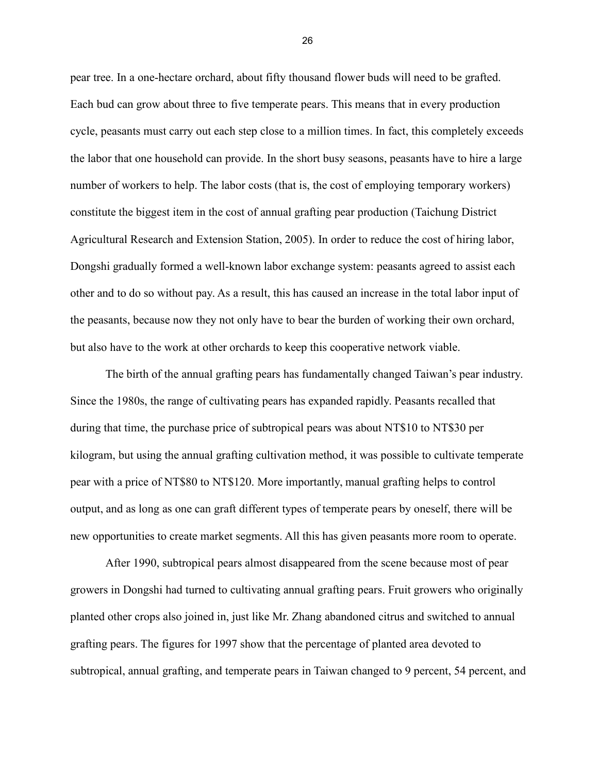pear tree. In a one-hectare orchard, about fifty thousand flower buds will need to be grafted. Each bud can grow about three to five temperate pears. This means that in every production cycle, peasants must carry out each step close to a million times. In fact, this completely exceeds the labor that one household can provide. In the short busy seasons, peasants have to hire a large number of workers to help. The labor costs (that is, the cost of employing temporary workers) constitute the biggestitem in the cost of annual grafting pear production (Taichung District Agricultural Research and Extension Station, 2005). In order to reduce the cost of hiring labor, Dongshi gradually formed a well-known labor exchange system: peasants agreed to assist each other and to do so without pay. As a result, this has caused an increase in the total labor input of the peasants, because now they not only have to bear the burden of working their own orchard, but also have to the work at other orchards to keep this cooperative network viable.

The birth of the annual grafting pears has fundamentally changed Taiwan's pear industry. Since the 1980s, the range of cultivating pears has expanded rapidly. Peasants recalled that during that time, the purchase price of subtropical pears was about NT\$10 to NT\$30 per kilogram, but using the annual grafting cultivation method, itwas possible to cultivate temperate pear with a price of NT\$80 to NT\$120. More importantly, manual grafting helps to control output, and as long as one can graft different types oftemperate pears by oneself, there will be new opportunities to create market segments. All this has given peasants more room to operate.

After 1990, subtropical pears almost disappeared from the scene because mostof pear growers in Dongshi had turned to cultivating annual grafting pears. Fruit growers who originally planted other crops also joined in, just like Mr. Zhang abandoned citrus and switched to annual grafting pears. The figures for 1997 show that the percentage of planted area devoted to subtropical, annual grafting, and temperate pears in Taiwan changed to 9 percent, 54 percent, and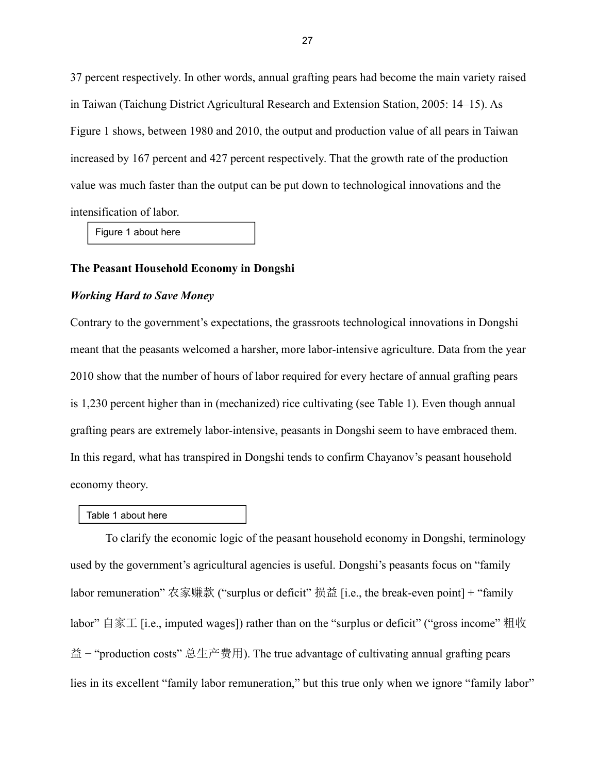37 percent respectively. In other words, annual grafting pears had become the main variety raised in Taiwan (Taichung District Agricultural Research and Extension Station, 2005: 14–15). As Figure 1 shows, between 1980 and 2010, the output and production value of all pears in Taiwan increased by 167 percent and 427 percent respectively. That the growth rate of the production value was much faster than the output can be put down to technological innovations and the

intensification of labor.

Figure 1 about here

# **The Peasant Household Economy in Dongshi**

# *Working Hard to Save Money*

Contrary to the government's expectations, the grassroots technological innovations in Dongshi meant that the peasants welcomed a harsher, more labor-intensive agriculture. Data from the year 2010 show that the number of hours oflabor required for every hectare of annual grafting pears is 1,230 percent higher than in (mechanized) rice cultivating (see Table 1). Even though annual grafting pears are extremely labor-intensive, peasants in Dongshi seem to have embraced them. In this regard,what has transpired in Dongshi tends to confirm Chayanov's peasant household economy theory.

### Table 1 about here

To clarify the economic logic of the peasant household economy in Dongshi, terminology used by the government's agricultural agencies is useful. Dongshi's peasants focus on "family labor remuneration" 农家赚款 ("surplus or deficit" 损益 [i.e., the break-even point] + "family labor" 自家工 [i.e., imputed wages]) rather than on the "surplus or deficit" ("gross income" 粗收 益 − "production costs" 总生产费用). The true advantage of cultivating annual grafting pears lies in its excellent "family labor remuneration," but this true only when we ignore "family labor"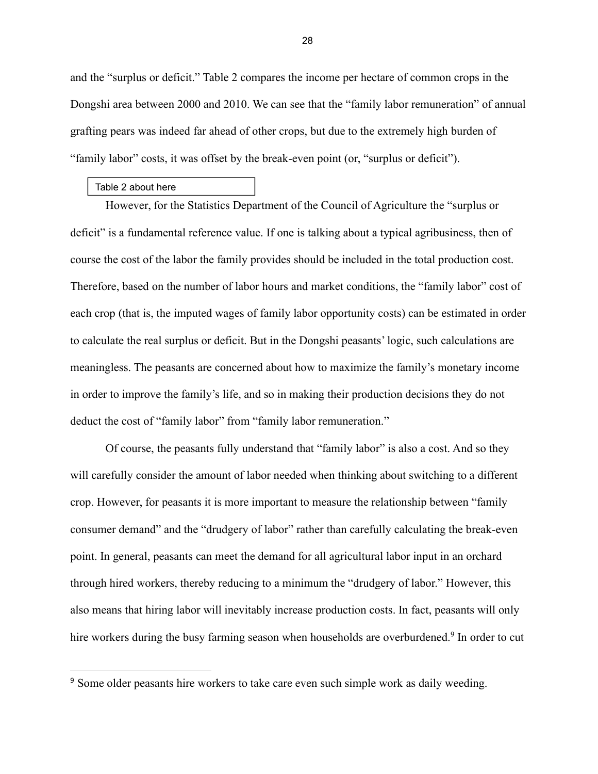and the "surplus or deficit." Table 2 compares the income per hectare of common crops in the Dongshi area between 2000 and 2010. We can see that the "family labor remuneration" of annual grafting pears was indeed far ahead of other crops, but due to the extremely high burden of "family labor" costs, it was offset by the break-even point (or, "surplus or deficit").

### Table 2 about here

However, for the Statistics Department of the Council of Agriculture the "surplus or deficit" is a fundamental reference value. If one is talking about a typical agribusiness, then of course the cost of the labor the family provides should be included in the total production cost. Therefore, based on the number of labor hours and market conditions, the "family labor" cost of each crop (that is, the imputed wages of family labor opportunity costs) can be estimated in order to calculate the real surplus or deficit. But in the Dongshi peasants' logic, such calculations are meaningless. The peasants are concerned about how to maximize the family's monetary income in order to improve the family's life, and so in making their production decisions they do not deduct the cost of "family labor" from "family labor remuneration."

Of course, the peasants fully understand that "family labor" is also a cost. And so they will carefully consider the amount of labor needed when thinking about switching to a different crop. However, for peasants it is more important to measure the relationship between "family consumer demand" and the "drudgery of labor" rather than carefully calculating the break-even point. In general, peasants can meet the demand for all agricultural labor input in an orchard through hired workers, thereby reducing to a minimum the "drudgery of labor." However, this also means that hiring labor will inevitably increase production costs. In fact, peasants will only hire workers during the busy farming season when households are overburdened.<sup>[9](#page-27-0)</sup> In order to cut

<span id="page-27-0"></span><sup>&</sup>lt;sup>9</sup> Some older peasants hire workers to take care even such simple work as daily weeding.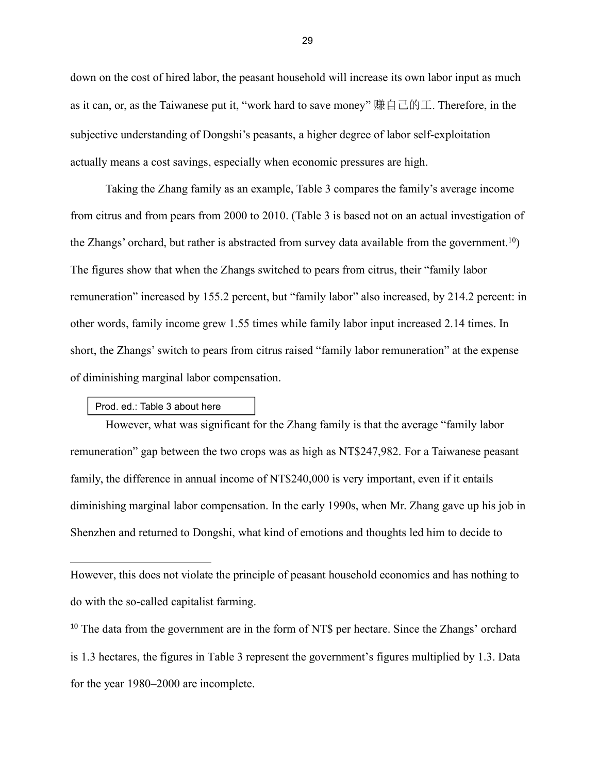down on the cost of hired labor, the peasant household will increase its own labor input as much as it can, or, as the Taiwanese put it, "work hard to save money" 赚自己的工. Therefore, in the subjective understanding of Dongshi's peasants, a higher degree of labor self-exploitation actually means a cost savings, especially when economic pressures are high.

Taking the Zhang family as an example, Table 3 compares the family's average income from citrus and from pears from 2000 to 2010. (Table 3 is based not on an actual investigation of the Zhangs' orchard, but rather is abstracted from survey data available from the government.<sup>[10](#page-28-0)</sup>) The figures show that when the Zhangs switched to pears from citrus, their "family labor remuneration" increased by 155.2 percent, but "family labor" also increased, by 214.2 percent: in other words, family income grew 1.55 times while family labor input increased 2.14 times. In short, the Zhangs'switch to pears from citrus raised "family labor remuneration" at the expense of diminishing marginal labor compensation.

# Prod. ed.: Table 3 about here

However, what was significant for the Zhang family is that the average "family labor remuneration" gap between the two crops was as high as NT\$247,982. For a Taiwanese peasant family, the difference in annual income of NT\$240,000 is very important, even if it entails diminishing marginal labor compensation. In the early 1990s, when Mr. Zhang gave up his job in Shenzhen and returned to Dongshi, what kind of emotions and thoughts led him to decide to

However, this does not violate the principle of peasant household economics and has nothing to do with the so-called capitalist farming.

<span id="page-28-0"></span><sup>&</sup>lt;sup>10</sup> The data from the government are in the form of NT\$ per hectare. Since the Zhangs' orchard is 1.3 hectares, the figures in Table 3 represent the government's figures multiplied by 1.3. Data for the year 1980–2000 are incomplete.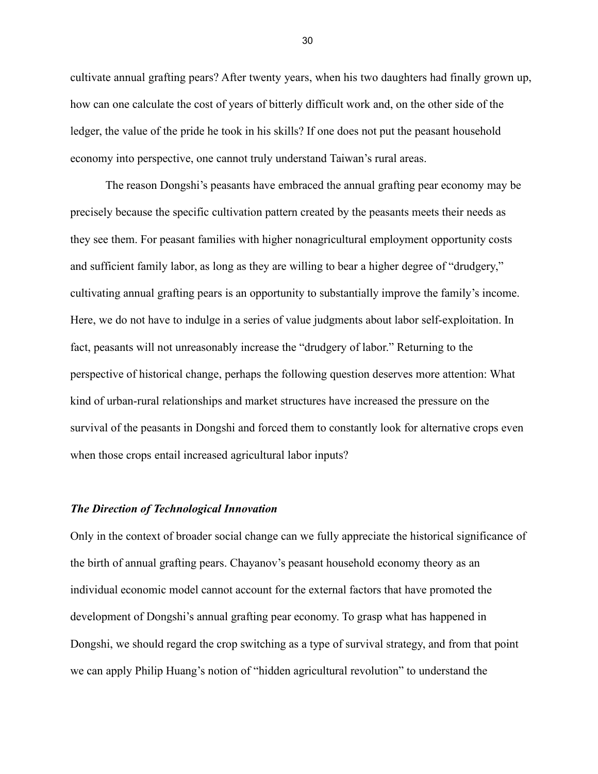cultivate annual grafting pears? After twenty years, when his two daughters had finally grown up, how can one calculate the cost of years of bitterly difficult work and, on the other side of the ledger, the value of the pride he took in his skills? If one does not put the peasant household economy into perspective, one cannot truly understand Taiwan's rural areas.

The reason Dongshi's peasants have embraced the annual grafting pear economy may be precisely because the specific cultivation pattern created by the peasants meets their needs as they see them. For peasant families with higher nonagricultural employment opportunity costs and sufficient family labor, as long as they are willing to bear a higher degree of "drudgery," cultivating annual grafting pears is an opportunity to substantially improve the family's income. Here, we do not have to indulge in a series of value judgments about labor self-exploitation. In fact, peasants will not unreasonably increase the "drudgery of labor." Returning to the perspective of historical change, perhaps the following question deserves more attention: What kind of urban-rural relationships and market structures have increased the pressure on the survival of the peasants in Dongshi and forced them to constantly look for alternative crops even when those crops entail increased agricultural labor inputs?

# *The Direction of Technological Innovation*

Only in the context of broader social change can we fully appreciate the historical significance of the birth of annual grafting pears. Chayanov's peasant household economy theory as an individual economic model cannot account for the external factors that have promoted the development of Dongshi's annual grafting pear economy. To grasp what has happened in Dongshi, we should regard the crop switching as a type of survival strategy, and from that point we can apply Philip Huang's notion of "hidden agricultural revolution" to understand the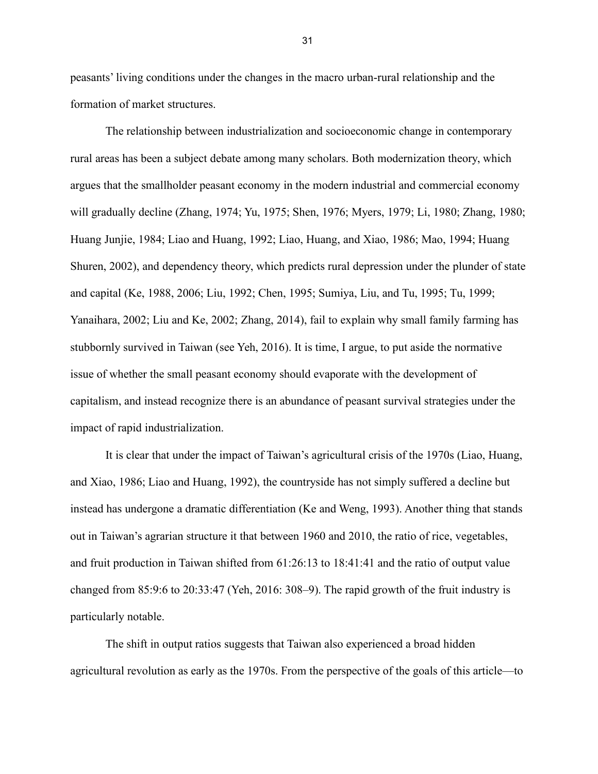peasants' living conditions under the changes in the macro urban-rural relationship and the formation of market structures.

The relationship between industrialization and socioeconomic change in contemporary rural areas has been a subject debate among many scholars. Both modernization theory, which argues that the smallholder peasant economy in the modern industrial and commercial economy will gradually decline (Zhang, 1974; Yu, 1975; Shen, 1976; Myers, 1979; Li, 1980; Zhang, 1980; Huang Junjie, 1984; Liao and Huang, 1992; Liao, Huang, and Xiao, 1986; Mao, 1994; Huang Shuren, 2002), and dependency theory, which predicts rural depression under the plunder of state and capital (Ke, 1988, 2006; Liu, 1992; Chen, 1995; Sumiya, Liu, and Tu, 1995; Tu, 1999; Yanaihara, 2002; Liu and Ke, 2002; Zhang, 2014), fail to explain why small family farming has stubbornly survived in Taiwan (see Yeh, 2016). It is time, I argue, to put aside the normative issue of whether the small peasant economy should evaporate with the development of capitalism, and instead recognize there is an abundance of peasant survival strategies under the impact of rapid industrialization.

It is clear that under the impact of Taiwan's agricultural crisis of the 1970s (Liao, Huang, and Xiao, 1986; Liao and Huang, 1992), the countryside has not simply suffered a decline but instead has undergone a dramatic differentiation (Ke and Weng, 1993). Another thing that stands out in Taiwan's agrarian structure it that between 1960 and 2010, the ratio of rice, vegetables, and fruit production in Taiwan shifted from 61:26:13 to 18:41:41 and the ratio of output value changed from 85:9:6 to 20:33:47 (Yeh, 2016: 308–9). The rapid growth of the fruit industry is particularly notable.

The shift in output ratios suggests that Taiwan also experienced a broad hidden agricultural revolution as early as the 1970s. From the perspective of the goals ofthis article—to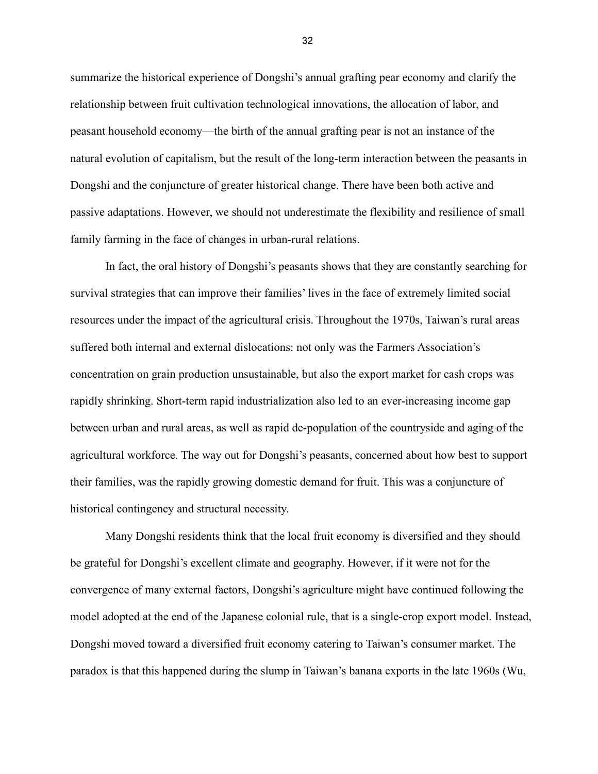summarize the historical experience of Dongshi's annual grafting pear economy and clarify the relationship between fruit cultivation technological innovations, the allocation of labor, and peasant household economy—the birth of the annual grafting pear is not an instance of the natural evolution of capitalism, but the result of the long-term interaction between the peasants in Dongshi and the conjuncture of greater historical change. There have been both active and passive adaptations. However, we should not underestimate the flexibility and resilience of small family farming in the face of changes in urban-rural relations.

In fact, the oral history of Dongshi's peasants shows that they are constantly searching for survival strategies that can improve their families' lives in the face of extremely limited social resources under the impact of the agricultural crisis. Throughout the 1970s, Taiwan's rural areas suffered both internal and external dislocations: not only was the Farmers Association's concentration on grain production unsustainable, but also the export market for cash crops was rapidly shrinking. Short-term rapid industrialization also led to an ever-increasing income gap between urban and rural areas, as well as rapid de-population of the countryside and aging of the agricultural workforce. The way out for Dongshi's peasants, concerned about how best to support their families, was the rapidly growing domestic demand for fruit. This was a conjuncture of historical contingency and structural necessity.

Many Dongshi residents think that the local fruit economy is diversified and they should be grateful for Dongshi's excellent climate and geography. However, if it were not for the convergence of many external factors, Dongshi's agriculture might have continued following the model adopted at the end of the Japanese colonial rule, that is a single-crop export model. Instead, Dongshi moved toward a diversified fruit economy catering to Taiwan's consumer market. The paradox is that this happened during the slump in Taiwan's banana exports in the late 1960s (Wu,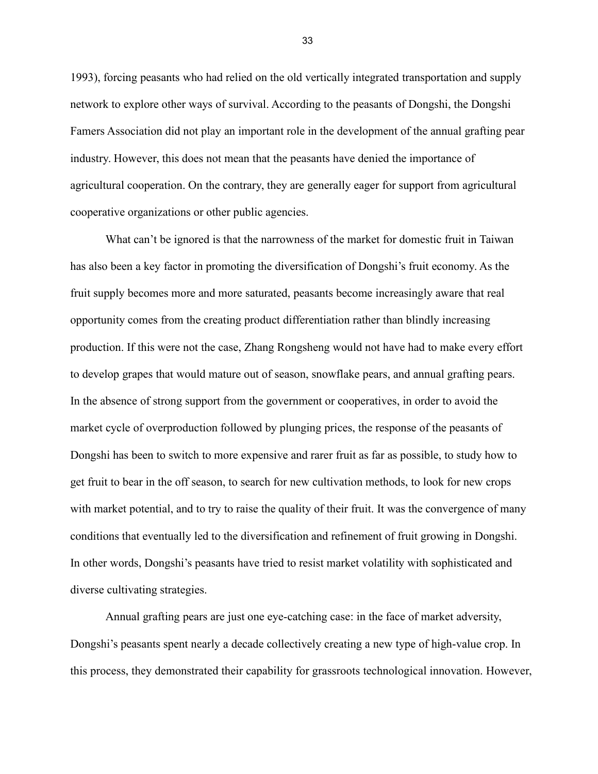1993), forcing peasants who had relied on the old vertically integrated transportation and supply network to explore other ways of survival. According to the peasants of Dongshi, the Dongshi Famers Association did not play an important role in the development of the annual grafting pear industry. However, this does not mean that the peasants have denied the importance of agricultural cooperation. On the contrary, they are generally eager for support from agricultural cooperative organizations orother public agencies.

What can't be ignored is that the narrowness of the market for domestic fruit in Taiwan has also been a key factor in promoting the diversification of Dongshi's fruit economy. As the fruit supply becomes more and more saturated, peasants become increasingly aware that real opportunity comes from the creating product differentiation rather than blindly increasing production. If this were not the case, Zhang Rongsheng would nothave had to make every effort to develop grapes that would mature out of season, snowflake pears, and annual grafting pears. In the absence of strong support from the government or cooperatives, in order to avoid the market cycle of overproduction followed by plunging prices, the response of the peasants of Dongshi has been to switch to more expensive and rarer fruit as far as possible, to study how to get fruit to bear in the off season, to search for new cultivation methods, to look for new crops with market potential, and to try to raise the quality of their fruit. It was the convergence of many conditions that eventually led to the diversification and refinement of fruit growing in Dongshi. In other words, Dongshi's peasants have tried to resist market volatility with sophisticated and diverse cultivating strategies.

Annual grafting pears are just one eye-catching case: in the face of market adversity, Dongshi's peasants spent nearly a decade collectively creating a new type of high-value crop. In this process, they demonstrated their capability for grassroots technological innovation. However,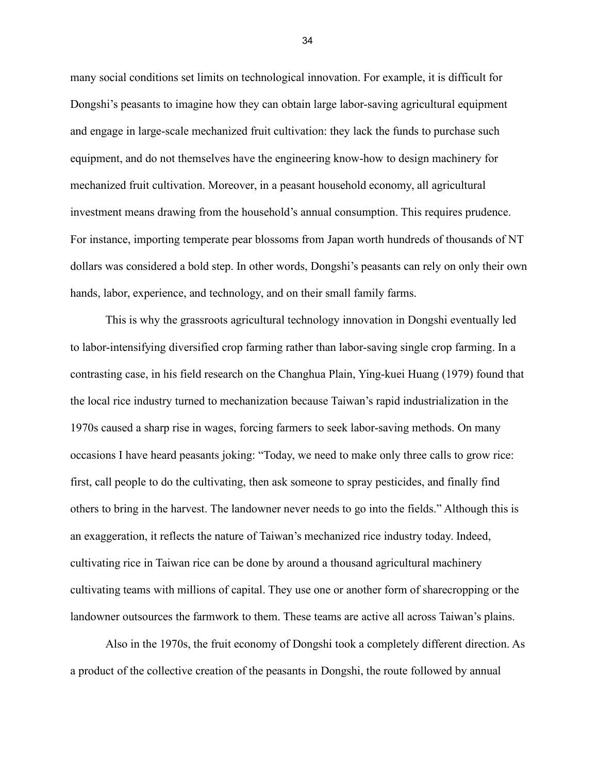many social conditions set limits on technological innovation. For example, it is difficult for Dongshi's peasants to imagine how they can obtain large labor-saving agricultural equipment and engage in large-scale mechanized fruit cultivation: they lack the funds to purchase such equipment, and do not themselves have the engineering know-how to design machinery for mechanized fruit cultivation. Moreover, in a peasant household economy, all agricultural investment means drawing from the household's annual consumption. This requires prudence. For instance, importing temperate pear blossoms from Japan worth hundreds of thousands of NT dollars was considered a bold step. In other words, Dongshi's peasants can rely on only their own hands, labor, experience, and technology, and on their small family farms.

This is why the grassroots agricultural technology innovation in Dongshi eventually led to labor-intensifying diversified crop farming rather than labor-saving single crop farming. In a contrasting case, in his field research on the Changhua Plain, Ying-kuei Huang (1979) found that the local rice industry turned to mechanization because Taiwan's rapid industrialization in the 1970s caused a sharp rise in wages, forcing farmers to seek labor-saving methods. On many occasions I have heard peasants joking: "Today, we need to make only three calls to grow rice: first, call people to do the cultivating, then ask someone to spray pesticides, and finally find others to bring in the harvest. The landowner never needs to go into the fields." Although this is an exaggeration, it reflects the nature of Taiwan's mechanized rice industry today. Indeed, cultivating rice in Taiwan rice can be done by around a thousand agricultural machinery cultivating teams with millions of capital. They use one or another form of sharecropping or the landowner outsources the farmwork to them. These teams are active all across Taiwan's plains.

Also in the 1970s, the fruit economy of Dongshi took a completely different direction. As a product of the collective creation of the peasants in Dongshi, the route followed by annual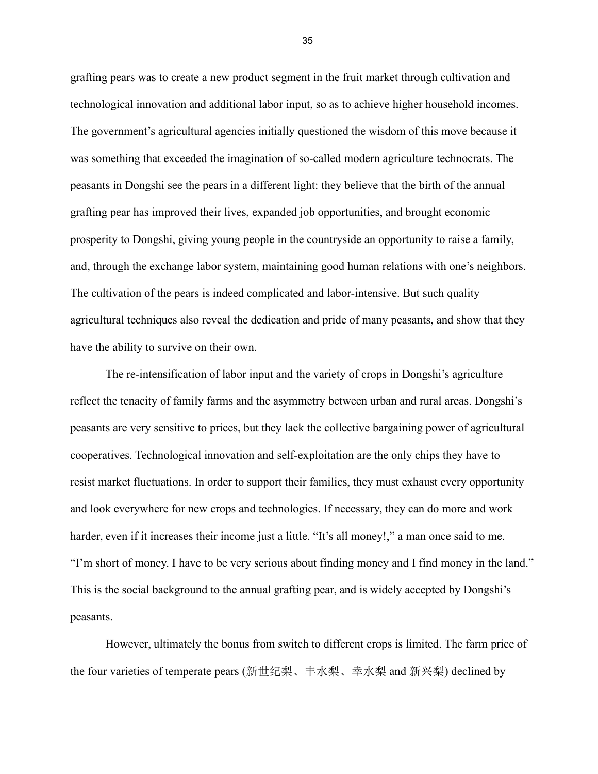grafting pears was to create a new product segment in the fruit market through cultivation and technological innovation and additional labor input, so as to achieve higher household incomes. The government's agricultural agencies initially questioned the wisdom of this move because it was something that exceeded the imagination of so-called modern agriculture technocrats. The peasants in Dongshi see the pears in a different light: they believe that the birth of the annual grafting pear has improved their lives, expanded job opportunities, and brought economic prosperity to Dongshi, giving young people in the countryside an opportunity to raise a family, and, through the exchange labor system, maintaining good human relations with one's neighbors. The cultivation of the pears is indeed complicated and labor-intensive. But such quality agricultural techniques also reveal the dedication and pride of many peasants, and show that they have the ability to survive on their own.

The re-intensification of labor input and the variety of crops in Dongshi's agriculture reflect the tenacity of family farms and the asymmetry between urban and rural areas. Dongshi's peasants are very sensitive to prices, but they lack the collective bargaining power of agricultural cooperatives. Technological innovation and self-exploitation are the only chips they have to resist market fluctuations. In order to support their families, they must exhaust every opportunity and look everywhere for new crops and technologies. If necessary, they can do more and work harder, even if it increases their income just a little. "It's all money!," a man once said to me. "I'm short of money. I have to be very serious about finding money and I find money in the land." This is the social background to the annual grafting pear, and is widely accepted by Dongshi's peasants.<br>However, ultimately the bonus from switch to different crops is limited. The farm price of

the four varieties of temperate pears (新世纪梨、丰水梨、幸水梨 and 新兴梨) declined by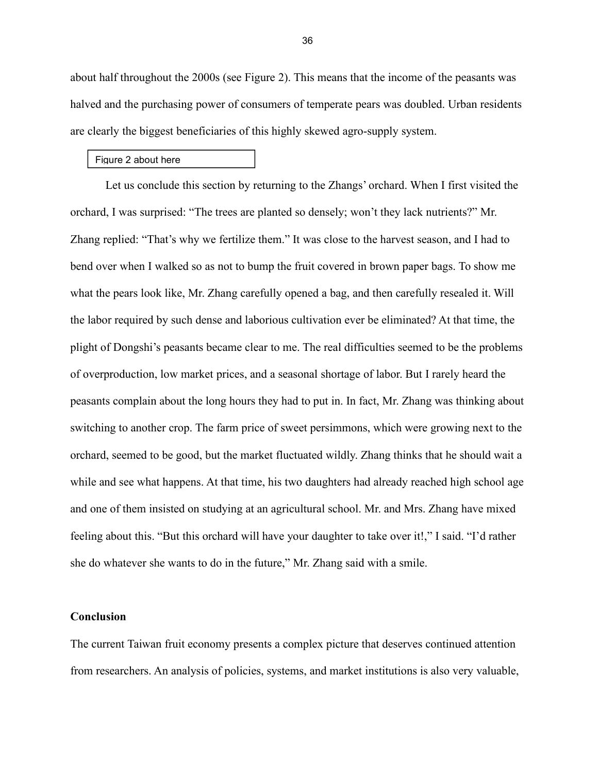about half throughout the 2000s (see Figure 2). This means that the income of the peasants was halved and the purchasing power of consumers of temperate pears was doubled. Urban residents are clearly the biggest beneficiaries of this highly skewed agro-supply system.

#### Figure 2 about here

Let us conclude this section by returning to the Zhangs' orchard. When I first visited the orchard, I was surprised: "The trees are planted so densely; won't they lack nutrients?" Mr. Zhang replied: "That's why we fertilize them." It was close to the harvest season, and I had to bend over when I walked so as not to bump the fruit covered in brown paper bags. To show me what the pears look like, Mr. Zhang carefully opened a bag, and then carefully resealed it. Will the labor required by such dense and laborious cultivation ever be eliminated? At that time, the plight of Dongshi's peasants became clear to me. The real difficulties seemed to be the problems of overproduction, low market prices, and a seasonal shortage of labor. But I rarely heard the peasants complain about the long hours they had to putin. In fact, Mr. Zhang was thinking about switching to another crop. The farm price of sweet persimmons, which were growing next to the orchard, seemed to be good, but the market fluctuated wildly. Zhang thinks that he should wait a while and see what happens. At that time, his two daughters had already reached high school age and one of them insisted on studying at an agricultural school. Mr. and Mrs. Zhang have mixed feeling about this. "But this orchard will have your daughter to take over it!," I said. "I'd rather she do whatever she wants to do in the future," Mr. Zhang said with a smile.

#### **Conclusion**

The current Taiwan fruit economy presents a complex picture that deserves continued attention from researchers. An analysis of policies, systems, and market institutions is also very valuable,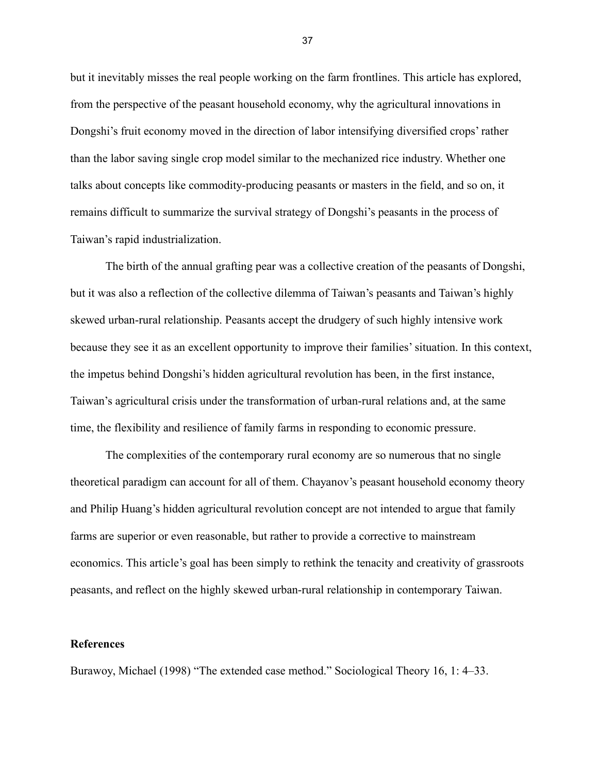but it inevitably misses the real people working on the farm frontlines. This article has explored, from the perspective of the peasant household economy, why the agricultural innovations in Dongshi's fruit economy moved in the direction of labor intensifying diversified crops' rather than the labor saving single crop model similar to the mechanized rice industry. Whether one talks about concepts like commodity-producing peasants ormasters in the field, and so on, it remains difficult to summarize the survival strategy of Dongshi's peasants in the process of Taiwan's rapid industrialization.

The birth of the annual grafting pear was a collective creation of the peasants of Dongshi, but it was also a reflection of the collective dilemma of Taiwan's peasants and Taiwan's highly skewed urban-rural relationship. Peasants accept the drudgery of such highly intensive work because they see it as an excellent opportunity to improve their families'situation. In this context, the impetus behind Dongshi's hidden agricultural revolution has been, in the first instance, Taiwan's agricultural crisis under the transformation of urban-rural relations and, at the same time, the flexibility and resilience of family farms in responding to economic pressure.

The complexities of the contemporary rural economy are so numerous that no single theoretical paradigm can account for all of them. Chayanov's peasant household economy theory and Philip Huang's hidden agricultural revolution concept are not intended to argue that family farms are superior or even reasonable, but rather to provide a corrective to mainstream economics. This article's goal has been simply to rethink the tenacity and creativity of grassroots peasants, and reflect on the highly skewed urban-rural relationship in contemporary Taiwan.

# **References**

Burawoy, Michael (1998) "The extended case method." Sociological Theory 16, 1: 4–33.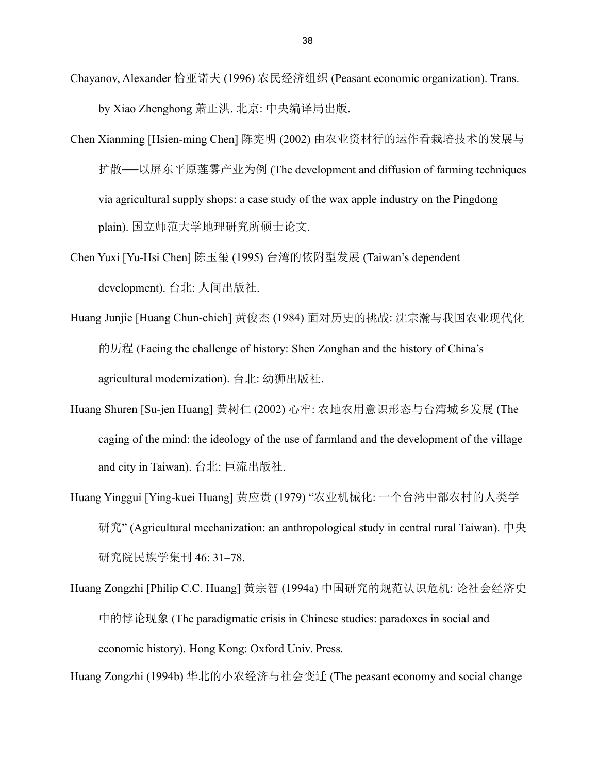- Chayanov, Alexander 恰亚诺夫 (1996) 农民经济组织 (Peasant economic organization). Trans. by Xiao Zhenghong 萧正洪. 北京: 中央编译局出版.
- Chen Xianming [Hsien-ming Chen] 陈宪明 (2002) 由农业资材行的运作看栽培技术的发展与 扩散──以屏东平原莲雾产业为例 (The development and diffusion of farming techniques via agricultural supply shops: a case study of the wax apple industry on the Pingdong plain). 国立师范大学地理研究所硕士论文.
- Chen Yuxi [Yu-Hsi Chen] 陈玉玺 (1995) 台湾的依附型发展 (Taiwan's dependent development). 台北: 人间出版社.
- Huang Junjie [Huang Chun-chieh] 黄俊杰 (1984) 面对历史的挑战: 沈宗瀚与我国农业现代化 的历程 (Facing the challenge of history: Shen Zonghan and the history of China's agricultural modernization). 台北: 幼狮出版社.
- Huang Shuren [Su-jen Huang] 黄树仁 (2002) 心牢: 农地农用意识形态与台湾城乡发展 (The caging of the mind: the ideology of the use of farmland and the development of the village and city in Taiwan).台北: 巨流出版社.
- Huang Yinggui [Ying-kuei Huang] 黄应贵 (1979) "农业机械化: 一个台湾中部农村的人类学 研究" (Agricultural mechanization: an anthropological study in central rural Taiwan). 中央 研究院民族学集刊 46: 31–78.
- Huang Zongzhi [Philip C.C. Huang] 黄宗智 (1994a) 中国研究的规范认识危机: 论社会经济史 中的悖论现象 (The paradigmatic crisis in Chinese studies: paradoxes in social and economic history).Hong Kong: Oxford Univ. Press.

Huang Zongzhi (1994b) 华北的小农经济与社会变迁 (The peasant economy and social change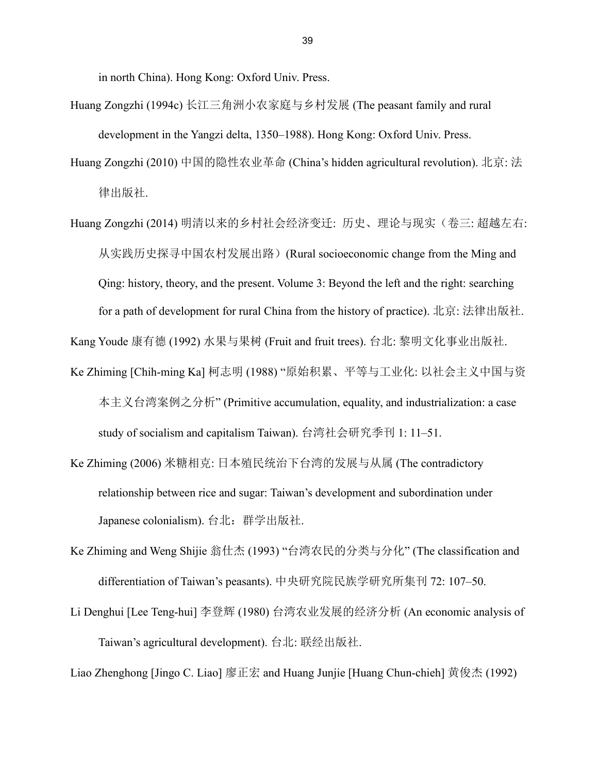in north China). Hong Kong: Oxford Univ. Press.

- Huang Zongzhi (1994c) 长江三角洲小农家庭与乡村发展 (The peasant family and rural development in the Yangzi delta, 1350–1988). Hong Kong: Oxford Univ. Press.
- Huang Zongzhi (2010) 中国的隐性农业革命 (China's hidden agricultural revolution). 北京: 法 律出版社.
- Huang Zongzhi (2014) 明清以来的乡村社会经济变迁: 历史、理论与现实(卷三: 超越左右: 从实践历史探寻中国农村发展出路)(Rural socioeconomic change from the Ming and Qing: history, theory, and the present. Volume 3: Beyond the left and the right: searching for a path of development for rural China from the history of practice). 北京: 法律出版社.

Kang Youde 康有德 (1992) 水果与果树 (Fruit and fruit trees). 台北: 黎明文化事业出版社.

- Ke Zhiming [Chih-ming Ka] 柯志明 (1988) "原始积累、平等与工业化: 以社会主义中国与资 本主义台湾案例之分析" (Primitive accumulation, equality, and industrialization: a case study of socialism and capitalism Taiwan). 台湾社会研究季刊 1: 11–51.
- Ke Zhiming (2006) 米糖相克: 日本殖民统治下台湾的发展与从属 (The contradictory relationship between rice and sugar: Taiwan's development and subordination under Japanese colonialism). 台北:群学出版社.
- Ke Zhiming and Weng Shijie 翁仕杰 (1993) "台湾农民的分类与分化" (The classification and differentiation of Taiwan's peasants). 中央研究院民族学研究所集刊 72: 107–50.
- Li Denghui [Lee Teng-hui] 李登辉 (1980) 台湾农业发展的经济分析 (An economic analysis of Taiwan's agricultural development). 台北: 联经出版社.

Liao Zhenghong [Jingo C. Liao] 廖正宏 and Huang Junjie [Huang Chun-chieh] 黄俊杰 (1992)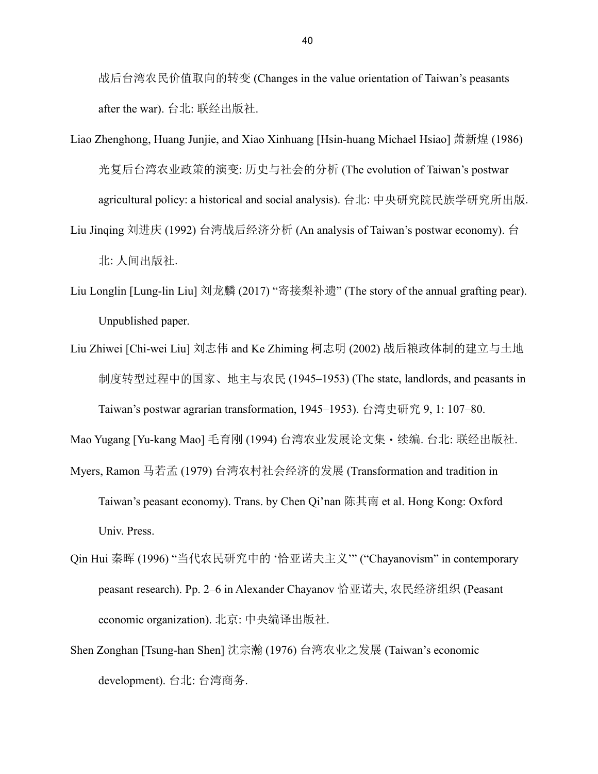战后台湾农民价值取向的转变 (Changes in the value orientation of Taiwan's peasants after the war). 台北: 联经出版社.

- Liao Zhenghong, Huang Junjie, and Xiao Xinhuang [Hsin-huang Michael Hsiao] 萧新煌 (1986) 光复后台湾农业政策的演变: 历史与社会的分析 (The evolution of Taiwan's postwar agricultural policy: a historical and social analysis). 台北: 中央研究院民族学研究所出版. Liu Jinqing 刘进庆 (1992) 台湾战后经济分析 (An analysis ofTaiwan's postwar economy). 台 北: 人间出版社.
- Liu Longlin [Lung-lin Liu] 刘龙麟 (2017) "寄接梨补遗" (The story of the annual grafting pear). Unpublished paper.
- Liu Zhiwei [Chi-wei Liu] 刘志伟 and Ke Zhiming 柯志明 (2002) 战后粮政体制的建立与土地 制度转型过程中的国家、地主与农民 (1945–1953) (The state, landlords, and peasants in Taiwan's postwar agrarian transformation, 1945–1953). 台湾史研究 9, 1: 107–80.

Mao Yugang [Yu-kang Mao] 毛育刚 (1994) 台湾农业发展论文集・续编. 台北: 联经出版社.

- Myers, Ramon 马若孟 (1979) 台湾农村社会经济的发展 (Transformation and tradition in Taiwan's peasant economy). Trans. by Chen Qi'nan 陈其南 etal. Hong Kong: Oxford Univ. Press.
- Qin Hui 秦晖 (1996) "当代农民研究中的 '恰亚诺夫主义'" ("Chayanovism" in contemporary peasant research). Pp. 2–6 in Alexander Chayanov 恰亚诺夫, 农民经济组织 (Peasant economic organization). 北京: 中央编译出版社.
- Shen Zonghan [Tsung-han Shen] 沈宗瀚 (1976) 台湾农业之发展 (Taiwan's economic development). 台北: 台湾商务.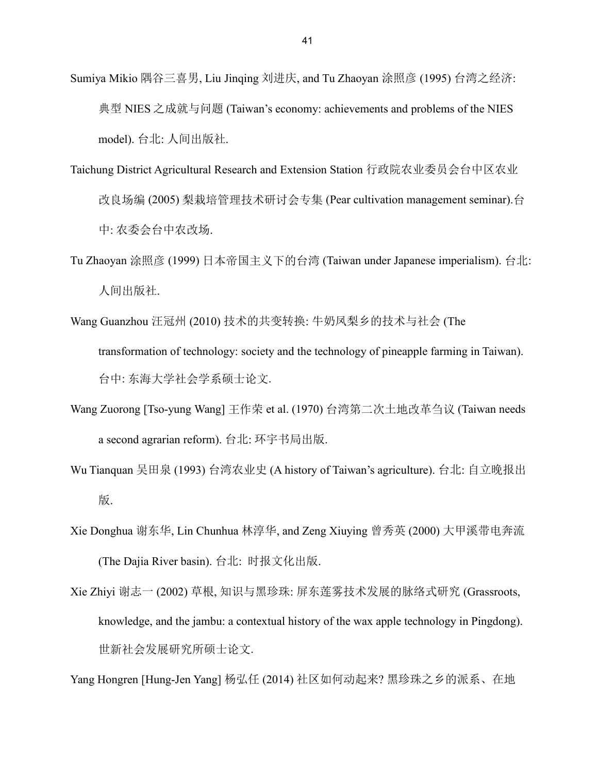- Sumiya Mikio 隅谷三喜男, Liu Jinqing 刘进庆, and Tu Zhaoyan 涂照彦 (1995) 台湾之经济: 典型 NIES 之成就与问题 (Taiwan's economy: achievements and problems of the NIES model). 台北: 人间出版社.
- Taichung District Agricultural Research and Extension Station 行政院农业委员会台中区农业 改良场编 (2005) 梨栽培管理技术研讨会专集 (Pear cultivation management seminar).台 中: 农委会台中农改场.
- Tu Zhaoyan 涂照彦 (1999) 日本帝国主义下的台湾 (Taiwan under Japanese imperialism). 台北: 人间出版社.
- Wang Guanzhou 汪冠州 (2010) 技术的共变转换: 牛奶凤梨乡的技术与社会 (The transformation of technology: society and the technology of pineapple farming in Taiwan).台中: 东海大学社会学系硕士论文.
- Wang Zuorong [Tso-yung Wang] 王作荣 et al. (1970) 台湾第二次土地改革刍议 (Taiwan needs a second agrarian reform). 台北: 环宇书局出版.
- Wu Tianquan 吴田泉 (1993) 台湾农业史 (A history of Taiwan's agriculture). 台北: 自立晚报出 版.
- Xie Donghua 谢东华, Lin Chunhua 林淳华, and Zeng Xiuying 曾秀英 (2000) 大甲溪带电奔流 (The Dajia River basin). 台北: 时报文化出版.
- Xie Zhiyi 谢志一 (2002) 草根, 知识与黑珍珠: 屏东莲雾技术发展的脉络式研究 (Grassroots, knowledge, and the jambu: a contextual history of the wax apple technology in Pingdong). 世新社会发展研究所硕士论文.

Yang Hongren [Hung-Jen Yang] 杨弘任 (2014) 社区如何动起来? 黑珍珠之乡的派系、在地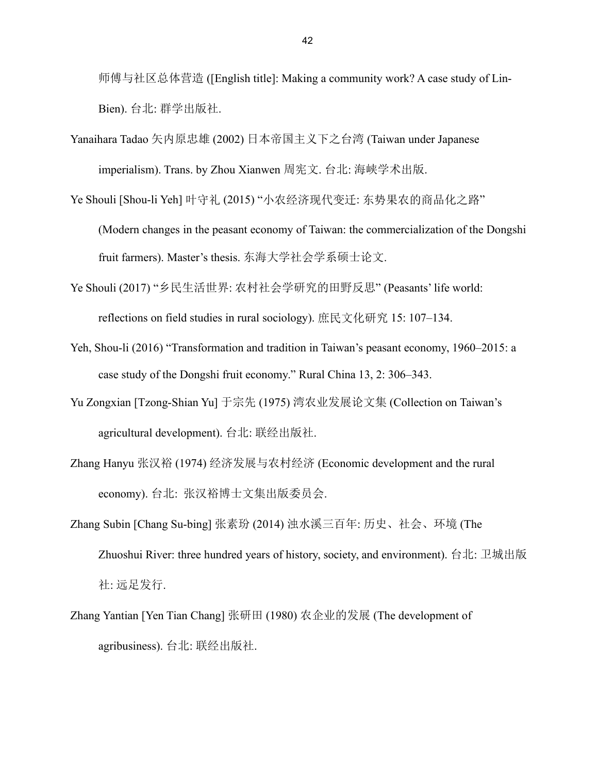师傅与社区总体营造 ([English title]: Making <sup>a</sup> community work? <sup>A</sup> case study of Lin-Bien). 台北: 群学出版社.

Yanaihara Tadao 矢内原忠雄 (2002) 日本帝国主义下之台湾 (Taiwan under Japanese imperialism). Trans. by Zhou Xianwen 周宪文. 台北: 海峡学术出版.

Ye Shouli [Shou-li Yeh] 叶守礼 (2015) "小农经济现代变迁: 东势果农的商品化之路" (Modern changes in the peasant economy of Taiwan: the commercialization of the Dongshi fruit farmers). Master's thesis. 东海大学社会学系硕士论文.

Ye Shouli (2017) "乡民生活世界: 农村社会学研究的田野反思" (Peasants' life world: reflections on field studies in rural sociology). 庶民文化研究 15: 107–134.

- Yeh, Shou-li (2016) "Transformation and tradition in Taiwan's peasant economy, 1960–2015: a case study of the Dongshi fruit economy." Rural China 13, 2: 306–343.
- Yu Zongxian [Tzong-Shian Yu] 于宗先 (1975) 湾农业发展论文集 (Collection on Taiwan's agricultural development). 台北: 联经出版社.
- Zhang Hanyu 张汉裕 (1974) 经济发展与农村经济 (Economic development and the rural economy). 台北: 张汉裕博士文集出版委员会.
- Zhang Subin [Chang Su-bing] 张素玢 (2014) 浊水溪三百年: 历史、社会、环境 (The Zhuoshui River: three hundred years of history, society, and environment). 台北: 卫城出版 社: 远足发行.
- Zhang Yantian [Yen Tian Chang] 张研田 (1980) 农企业的发展 (The development of agribusiness). 台北: 联经出版社.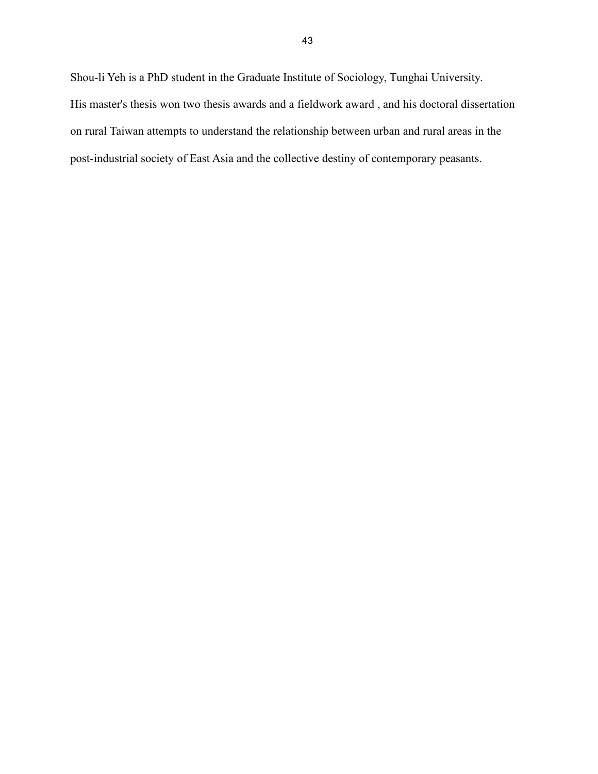Shou-li Yeh is a PhD student in the Graduate Institute of Sociology, Tunghai University. His master's thesis won two thesis awards and a fieldwork award , and his doctoral dissertation on rural Taiwan attempts to understand the relationship between urban and rural areas in the post-industrial society of East Asia and the collective destiny of contemporary peasants.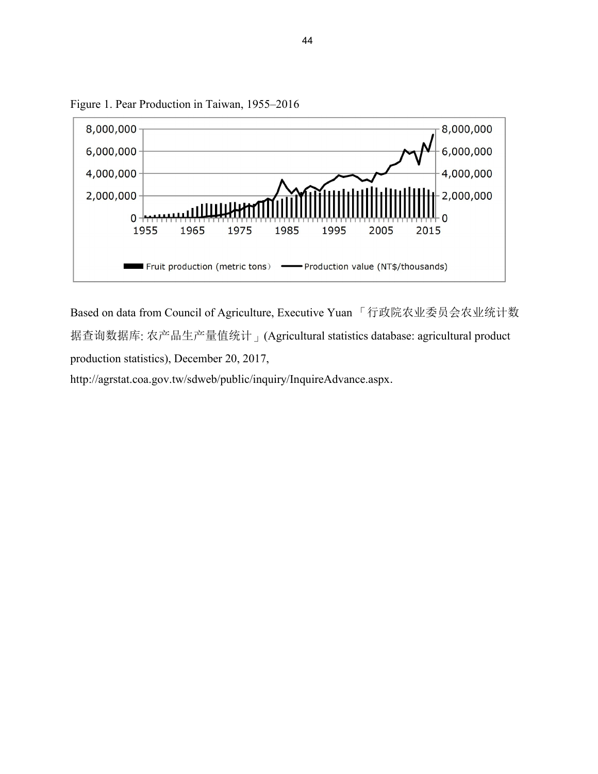

Figure 1. Pear Production in Taiwan, 1955–2016

Based on data from Council of Agriculture, Executive Yuan 「行政院农业委员会农业统计数 据查询数据库: 农产品生产量值统计」(Agricultural statistics database: agricultural product production statistics), December 20,2017,

http://agrstat.coa.gov.tw/sdweb/public/inquiry/InquireAdvance.aspx.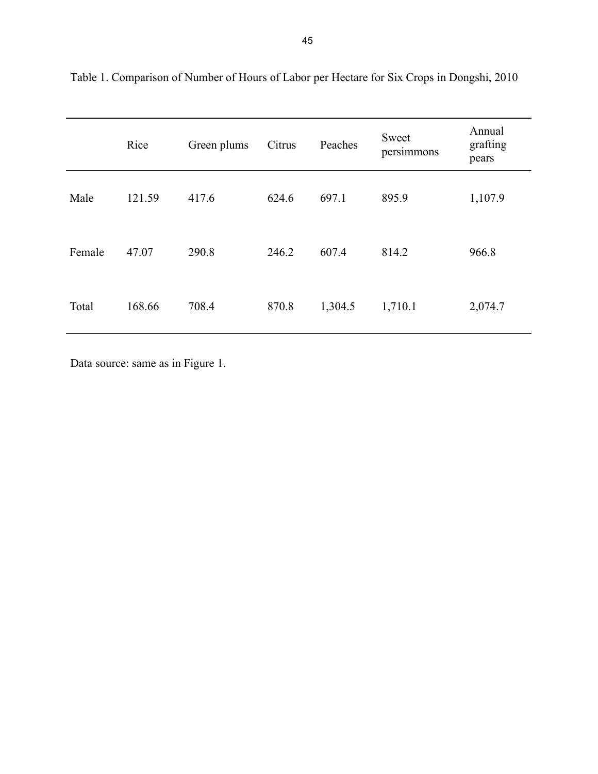|        | Rice   | Green plums | Citrus | Peaches | Sweet<br>persimmons | Annual<br>grafting<br>pears |
|--------|--------|-------------|--------|---------|---------------------|-----------------------------|
| Male   | 121.59 | 417.6       | 624.6  | 697.1   | 895.9               | 1,107.9                     |
| Female | 47.07  | 290.8       | 246.2  | 607.4   | 814.2               | 966.8                       |
| Total  | 168.66 | 708.4       | 870.8  | 1,304.5 | 1,710.1             | 2,074.7                     |

Table 1. Comparison of Number of Hours of Labor per Hectare for Six Crops in Dongshi, 2010

Data source: same as in Figure 1.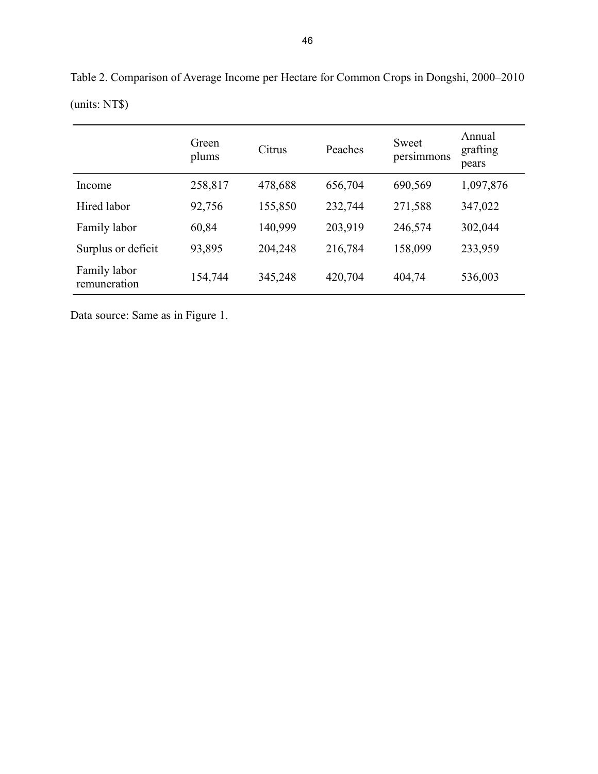|                              | Green<br>plums | Citrus  | Peaches | Sweet<br>persimmons | Annual<br>grafting<br>pears |
|------------------------------|----------------|---------|---------|---------------------|-----------------------------|
| Income                       | 258,817        | 478,688 | 656,704 | 690,569             | 1,097,876                   |
| Hired labor                  | 92,756         | 155,850 | 232,744 | 271,588             | 347,022                     |
| Family labor                 | 60,84          | 140,999 | 203,919 | 246,574             | 302,044                     |
| Surplus or deficit           | 93,895         | 204,248 | 216,784 | 158,099             | 233,959                     |
| Family labor<br>remuneration | 154,744        | 345,248 | 420,704 | 404,74              | 536,003                     |

Table 2. Comparison of Average Income per Hectare for Common Crops in Dongshi, 2000–2010 (units: NT\$)

Data source: Same as in Figure 1.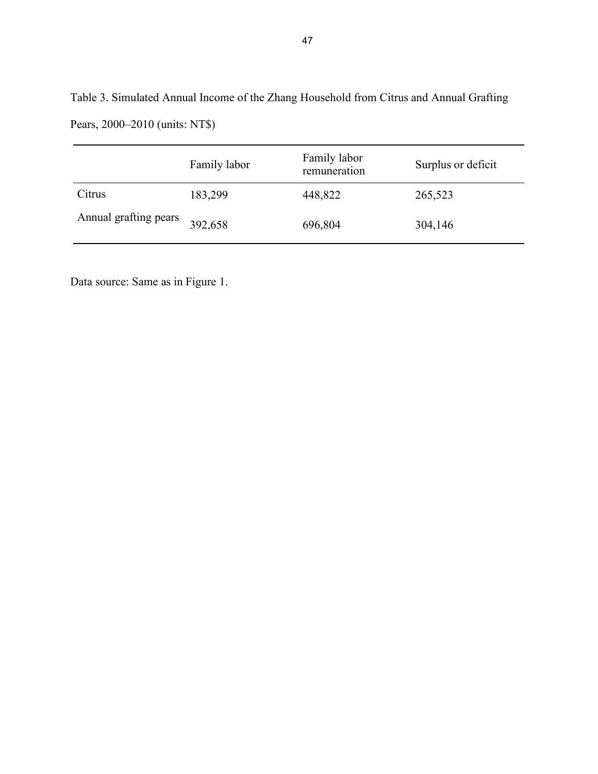| 47 |  |  |  |
|----|--|--|--|
|    |  |  |  |

Table 3. Simulated Annual Income of the Zhang Household from Citrus and Annual Grafting

|                       | Family labor | Family labor<br>remuneration | Surplus or deficit |
|-----------------------|--------------|------------------------------|--------------------|
| Citrus                | 183,299      | 448,822                      | 265,523            |
| Annual grafting pears | 392,658      | 696,804                      | 304,146            |

Pears, 2000–2010 (units: NT\$)

Data source: Same as in Figure 1.